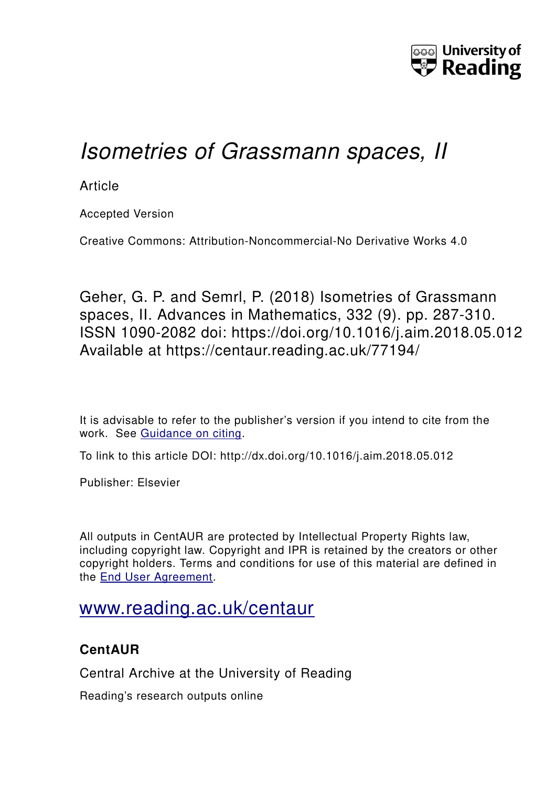

# *Isometries of Grassmann spaces, II*

**Article** 

Accepted Version

Creative Commons: Attribution-Noncommercial-No Derivative Works 4.0

Geher, G. P. and Semrl, P. (2018) Isometries of Grassmann spaces, II. Advances in Mathematics, 332 (9). pp. 287-310. ISSN 1090-2082 doi: https://doi.org/10.1016/j.aim.2018.05.012 Available at https://centaur.reading.ac.uk/77194/

It is advisable to refer to the publisher's version if you intend to cite from the work. See [Guidance on citing.](http://centaur.reading.ac.uk/71187/10/CentAUR%20citing%20guide.pdf)

To link to this article DOI: http://dx.doi.org/10.1016/j.aim.2018.05.012

Publisher: Elsevier

All outputs in CentAUR are protected by Intellectual Property Rights law, including copyright law. Copyright and IPR is retained by the creators or other copyright holders. Terms and conditions for use of this material are defined in the [End User Agreement.](http://centaur.reading.ac.uk/licence)

## [www.reading.ac.uk/centaur](http://www.reading.ac.uk/centaur)

## **CentAUR**

Central Archive at the University of Reading

Reading's research outputs online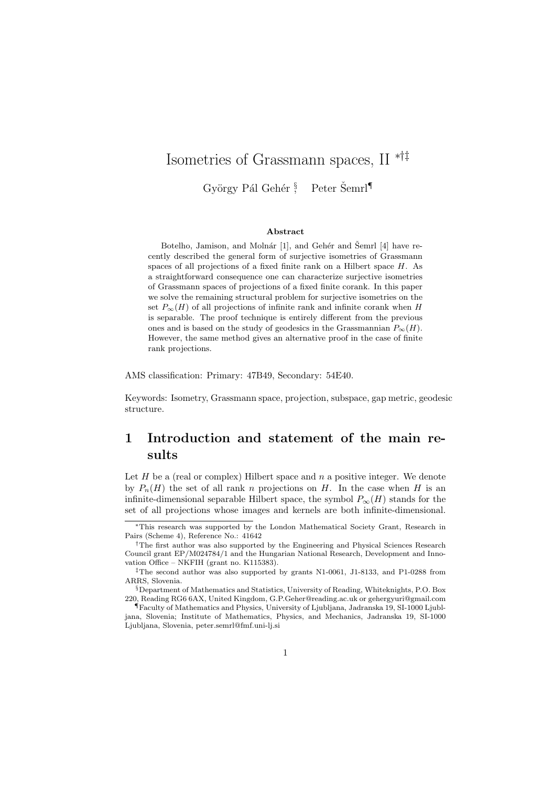## Isometries of Grassmann spaces, II ∗†‡

György Pál Gehér § Peter Šemrl<sup>¶</sup>

#### Abstract

Botelho, Jamison, and Molnár [1], and Gehér and Šemrl [4] have recently described the general form of surjective isometries of Grassmann spaces of all projections of a fixed finite rank on a Hilbert space  $H$ . As a straightforward consequence one can characterize surjective isometries of Grassmann spaces of projections of a fixed finite corank. In this paper we solve the remaining structural problem for surjective isometries on the set  $P_{\infty}(H)$  of all projections of infinite rank and infinite corank when H is separable. The proof technique is entirely different from the previous ones and is based on the study of geodesics in the Grassmannian  $P_{\infty}(H)$ . However, the same method gives an alternative proof in the case of finite rank projections.

AMS classification: Primary: 47B49, Secondary: 54E40.

Keywords: Isometry, Grassmann space, projection, subspace, gap metric, geodesic structure.

## 1 Introduction and statement of the main results

Let  $H$  be a (real or complex) Hilbert space and  $n$  a positive integer. We denote by  $P_n(H)$  the set of all rank n projections on H. In the case when H is an infinite-dimensional separable Hilbert space, the symbol  $P_{\infty}(H)$  stands for the set of all projections whose images and kernels are both infinite-dimensional.

<sup>∗</sup>This research was supported by the London Mathematical Society Grant, Research in Pairs (Scheme 4), Reference No.: 41642

<sup>&</sup>lt;sup>†</sup>The first author was also supported by the Engineering and Physical Sciences Research Council grant EP/M024784/1 and the Hungarian National Research, Development and Innovation Office – NKFIH (grant no. K115383).

<sup>‡</sup>The second author was also supported by grants N1-0061, J1-8133, and P1-0288 from ARRS, Slovenia.

<sup>§</sup>Department of Mathematics and Statistics, University of Reading, Whiteknights, P.O. Box 220, Reading RG6 6AX, United Kingdom, G.P.Geher@reading.ac.uk or gehergyuri@gmail.com

<sup>¶</sup>Faculty of Mathematics and Physics, University of Ljubljana, Jadranska 19, SI-1000 Ljubljana, Slovenia; Institute of Mathematics, Physics, and Mechanics, Jadranska 19, SI-1000 Ljubljana, Slovenia, peter.semrl@fmf.uni-lj.si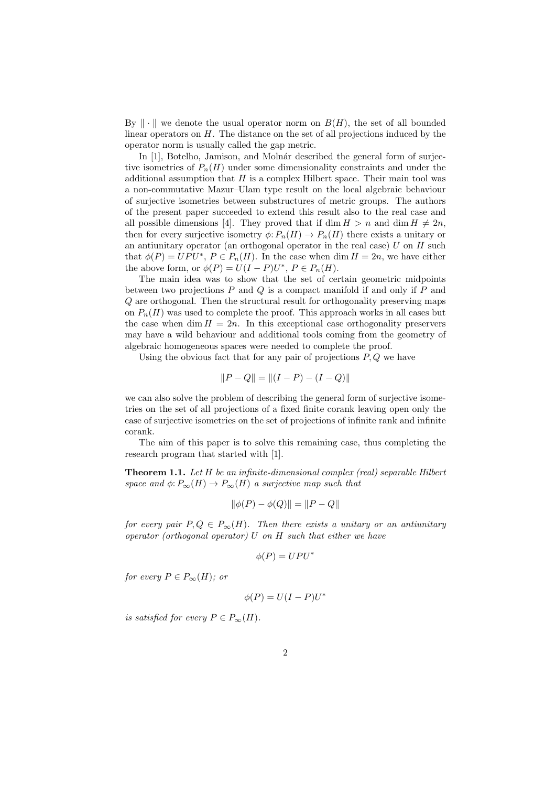By  $\Vert \cdot \Vert$  we denote the usual operator norm on  $B(H)$ , the set of all bounded linear operators on H. The distance on the set of all projections induced by the operator norm is usually called the gap metric.

In [1], Botelho, Jamison, and Molnár described the general form of surjective isometries of  $P_n(H)$  under some dimensionality constraints and under the additional assumption that  $H$  is a complex Hilbert space. Their main tool was a non-commutative Mazur–Ulam type result on the local algebraic behaviour of surjective isometries between substructures of metric groups. The authors of the present paper succeeded to extend this result also to the real case and all possible dimensions [4]. They proved that if dim  $H > n$  and dim  $H \neq 2n$ , then for every surjective isometry  $\phi: P_n(H) \to P_n(H)$  there exists a unitary or an antiunitary operator (an orthogonal operator in the real case)  $U$  on  $H$  such that  $\phi(P) = UPU^*$ ,  $P \in P_n(H)$ . In the case when dim  $H = 2n$ , we have either the above form, or  $\phi(P) = U(I - P)U^*$ ,  $P \in P_n(H)$ .

The main idea was to show that the set of certain geometric midpoints between two projections  $P$  and  $Q$  is a compact manifold if and only if  $P$  and Q are orthogonal. Then the structural result for orthogonality preserving maps on  $P_n(H)$  was used to complete the proof. This approach works in all cases but the case when dim  $H = 2n$ . In this exceptional case orthogonality preservers may have a wild behaviour and additional tools coming from the geometry of algebraic homogeneous spaces were needed to complete the proof.

Using the obvious fact that for any pair of projections  $P, Q$  we have

$$
||P - Q|| = ||(I - P) - (I - Q)||
$$

we can also solve the problem of describing the general form of surjective isometries on the set of all projections of a fixed finite corank leaving open only the case of surjective isometries on the set of projections of infinite rank and infinite corank.

The aim of this paper is to solve this remaining case, thus completing the research program that started with [1].

**Theorem 1.1.** Let  $H$  be an infinite-dimensional complex (real) separable Hilbert space and  $\phi: P_{\infty}(H) \to P_{\infty}(H)$  a surjective map such that

$$
\|\phi(P) - \phi(Q)\| = \|P - Q\|
$$

for every pair  $P,Q \in P_{\infty}(H)$ . Then there exists a unitary or an antiunitary operator (orthogonal operator)  $U$  on  $H$  such that either we have

$$
\phi(P) = UPU^*
$$

for every  $P \in P_{\infty}(H)$ ; or

$$
\phi(P) = U(I - P)U^*
$$

is satisfied for every  $P \in P_{\infty}(H)$ .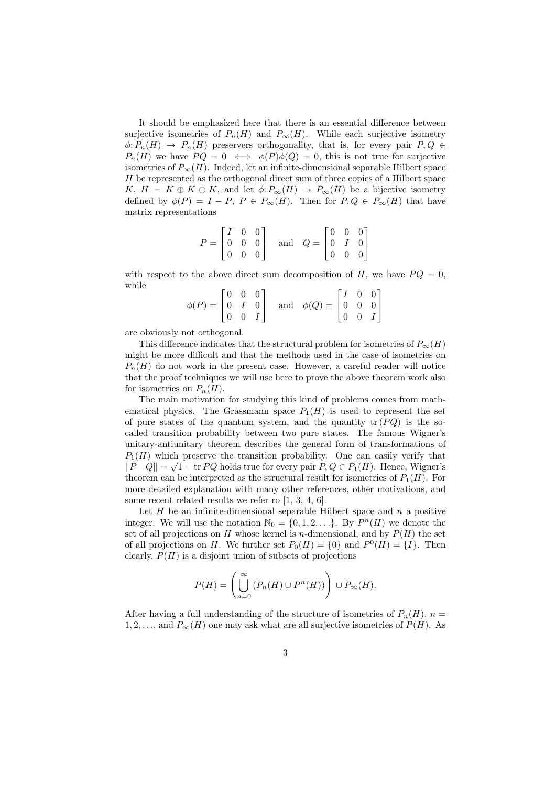It should be emphasized here that there is an essential difference between surjective isometries of  $P_n(H)$  and  $P_\infty(H)$ . While each surjective isometry  $\phi: P_n(H) \to P_n(H)$  preservers orthogonality, that is, for every pair  $P, Q \in$  $P_n(H)$  we have  $PQ = 0 \iff \phi(P)\phi(Q) = 0$ , this is not true for surjective isometries of  $P_{\infty}(H)$ . Indeed, let an infinite-dimensional separable Hilbert space  $H$  be represented as the orthogonal direct sum of three copies of a Hilbert space K,  $H = K \oplus K \oplus K$ , and let  $\phi: P_{\infty}(H) \to P_{\infty}(H)$  be a bijective isometry defined by  $\phi(P) = I - P$ ,  $P \in P_{\infty}(H)$ . Then for  $P, Q \in P_{\infty}(H)$  that have matrix representations

$$
P = \begin{bmatrix} I & 0 & 0 \\ 0 & 0 & 0 \\ 0 & 0 & 0 \end{bmatrix} \text{ and } Q = \begin{bmatrix} 0 & 0 & 0 \\ 0 & I & 0 \\ 0 & 0 & 0 \end{bmatrix}
$$

with respect to the above direct sum decomposition of H, we have  $PQ = 0$ , while

$$
\phi(P) = \begin{bmatrix} 0 & 0 & 0 \\ 0 & I & 0 \\ 0 & 0 & I \end{bmatrix} \quad \text{and} \quad \phi(Q) = \begin{bmatrix} I & 0 & 0 \\ 0 & 0 & 0 \\ 0 & 0 & I \end{bmatrix}
$$

are obviously not orthogonal.

This difference indicates that the structural problem for isometries of  $P_{\infty}(H)$ might be more difficult and that the methods used in the case of isometries on  $P_n(H)$  do not work in the present case. However, a careful reader will notice that the proof techniques we will use here to prove the above theorem work also for isometries on  $P_n(H)$ .

The main motivation for studying this kind of problems comes from mathematical physics. The Grassmann space  $P_1(H)$  is used to represent the set of pure states of the quantum system, and the quantity  $tr(PQ)$  is the socalled transition probability between two pure states. The famous Wigner's unitary-antiunitary theorem describes the general form of transformations of  $P_1(H)$  which preserve the transition probability. One can easily verify that  $||P-Q|| = \sqrt{1 - \text{tr } PQ}$  holds true for every pair  $P, Q \in P_1(H)$ . Hence, Wigner's theorem can be interpreted as the structural result for isometries of  $P_1(H)$ . For more detailed explanation with many other references, other motivations, and some recent related results we refer ro [1, 3, 4, 6].

Let  $H$  be an infinite-dimensional separable Hilbert space and  $n$  a positive integer. We will use the notation  $\mathbb{N}_0 = \{0, 1, 2, \ldots\}$ . By  $P^n(H)$  we denote the set of all projections on H whose kernel is *n*-dimensional, and by  $P(H)$  the set of all projections on H. We further set  $P_0(H) = \{0\}$  and  $P^0(H) = \{I\}$ . Then clearly,  $P(H)$  is a disjoint union of subsets of projections

$$
P(H) = \left(\bigcup_{n=0}^{\infty} \left(P_n(H) \cup P^n(H)\right)\right) \cup P_{\infty}(H).
$$

After having a full understanding of the structure of isometries of  $P_n(H)$ ,  $n =$  $1, 2, \ldots$ , and  $P_{\infty}(H)$  one may ask what are all surjective isometries of  $P(H)$ . As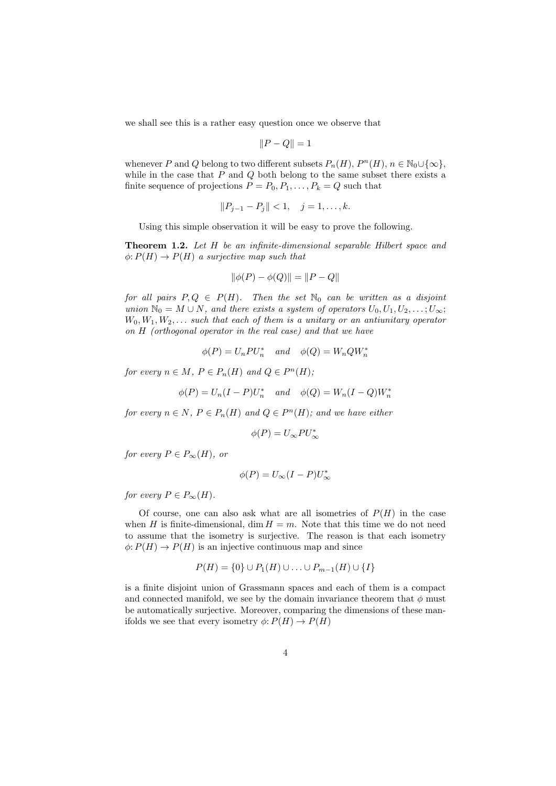we shall see this is a rather easy question once we observe that

$$
||P - Q|| = 1
$$

whenever P and Q belong to two different subsets  $P_n(H)$ ,  $P^n(H)$ ,  $n \in \mathbb{N}_0 \cup \{\infty\}$ , while in the case that  $P$  and  $Q$  both belong to the same subset there exists a finite sequence of projections  $P = P_0, P_1, \ldots, P_k = Q$  such that

$$
||P_{j-1} - P_j|| < 1, \quad j = 1, \dots, k.
$$

Using this simple observation it will be easy to prove the following.

Theorem 1.2. Let H be an infinite-dimensional separable Hilbert space and  $\phi: P(H) \to P(H)$  a surjective map such that

$$
\|\phi(P) - \phi(Q)\| = \|P - Q\|
$$

for all pairs  $P,Q \in P(H)$ . Then the set  $\mathbb{N}_0$  can be written as a disjoint union  $\mathbb{N}_0 = M \cup N$ , and there exists a system of operators  $U_0, U_1, U_2, \ldots, U_{\infty}$ ;  $W_0, W_1, W_2, \ldots$  such that each of them is a unitary or an antiunitary operator on H (orthogonal operator in the real case) and that we have

$$
\phi(P)=U_nPU_n^*\quad\text{ and }\quad \phi(Q)=W_nQW_n^*
$$

for every  $n \in M$ ,  $P \in P_n(H)$  and  $Q \in P^n(H)$ ;

$$
\phi(P) = U_n(I - P)U_n^* \quad and \quad \phi(Q) = W_n(I - Q)W_n^*
$$

for every  $n \in N$ ,  $P \in P_n(H)$  and  $Q \in P^n(H)$ ; and we have either

$$
\phi(P) = U_{\infty} P U_{\infty}^*
$$

for every  $P \in P_{\infty}(H)$ , or

$$
\phi(P) = U_{\infty}(I - P)U_{\infty}^*
$$

for every  $P \in P_{\infty}(H)$ .

Of course, one can also ask what are all isometries of  $P(H)$  in the case when H is finite-dimensional, dim  $H = m$ . Note that this time we do not need to assume that the isometry is surjective. The reason is that each isometry  $\phi: P(H) \to P(H)$  is an injective continuous map and since

$$
P(H) = \{0\} \cup P_1(H) \cup \ldots \cup P_{m-1}(H) \cup \{I\}
$$

is a finite disjoint union of Grassmann spaces and each of them is a compact and connected manifold, we see by the domain invariance theorem that  $\phi$  must be automatically surjective. Moreover, comparing the dimensions of these manifolds we see that every isometry  $\phi: P(H) \to P(H)$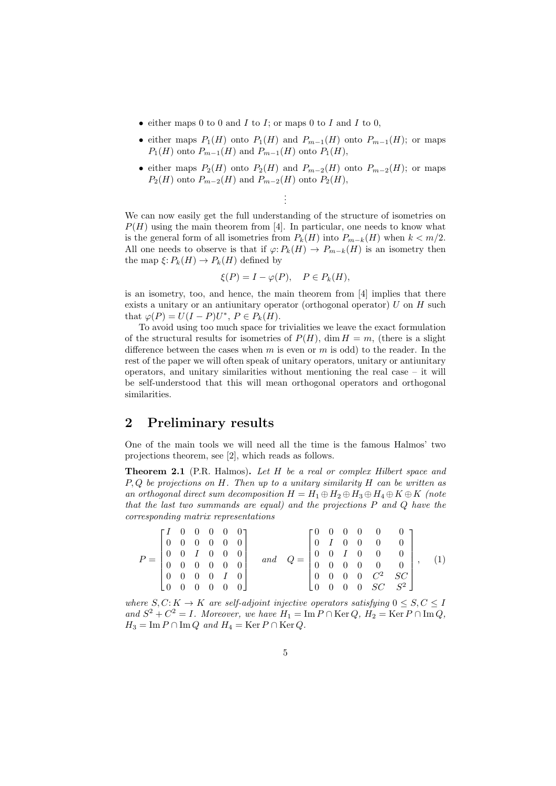- either maps 0 to 0 and  $I$  to  $I$ ; or maps 0 to  $I$  and  $I$  to 0,
- either maps  $P_1(H)$  onto  $P_1(H)$  and  $P_{m-1}(H)$  onto  $P_{m-1}(H)$ ; or maps  $P_1(H)$  onto  $P_{m-1}(H)$  and  $P_{m-1}(H)$  onto  $P_1(H)$ ,
- either maps  $P_2(H)$  onto  $P_2(H)$  and  $P_{m-2}(H)$  onto  $P_{m-2}(H)$ ; or maps  $P_2(H)$  onto  $P_{m-2}(H)$  and  $P_{m-2}(H)$  onto  $P_2(H)$ ,

We can now easily get the full understanding of the structure of isometries on  $P(H)$  using the main theorem from [4]. In particular, one needs to know what is the general form of all isometries from  $P_k(H)$  into  $P_{m-k}(H)$  when  $k < m/2$ . All one needs to observe is that if  $\varphi: P_k(H) \to P_{m-k}(H)$  is an isometry then the map  $\xi: P_k(H) \to P_k(H)$  defined by

. . .

$$
\xi(P) = I - \varphi(P), \quad P \in P_k(H),
$$

is an isometry, too, and hence, the main theorem from [4] implies that there exists a unitary or an antiunitary operator (orthogonal operator)  $U$  on  $H$  such that  $\varphi(P) = U(I - P)U^*$ ,  $P \in P_k(H)$ .

To avoid using too much space for trivialities we leave the exact formulation of the structural results for isometries of  $P(H)$ , dim  $H = m$ , (there is a slight difference between the cases when  $m$  is even or  $m$  is odd) to the reader. In the rest of the paper we will often speak of unitary operators, unitary or antiunitary operators, and unitary similarities without mentioning the real case – it will be self-understood that this will mean orthogonal operators and orthogonal similarities.

### 2 Preliminary results

One of the main tools we will need all the time is the famous Halmos' two projections theorem, see [2], which reads as follows.

Theorem 2.1 (P.R. Halmos). Let H be a real or complex Hilbert space and  $P, Q$  be projections on  $H$ . Then up to a unitary similarity  $H$  can be written as an orthogonal direct sum decomposition  $H = H_1 \oplus H_2 \oplus H_3 \oplus H_4 \oplus K \oplus K$  (note that the last two summands are equal) and the projections P and Q have the corresponding matrix representations

$$
P = \begin{bmatrix} I & 0 & 0 & 0 & 0 & 0 \\ 0 & 0 & 0 & 0 & 0 & 0 \\ 0 & 0 & I & 0 & 0 & 0 \\ 0 & 0 & 0 & 0 & 0 & 0 \\ 0 & 0 & 0 & 0 & I & 0 \\ 0 & 0 & 0 & 0 & 0 & 0 \end{bmatrix} \quad and \quad Q = \begin{bmatrix} 0 & 0 & 0 & 0 & 0 & 0 \\ 0 & I & 0 & 0 & 0 & 0 \\ 0 & 0 & I & 0 & 0 & 0 \\ 0 & 0 & 0 & 0 & 0 & 0 \\ 0 & 0 & 0 & 0 & C^2 & SC \\ 0 & 0 & 0 & 0 & SC & S^2 \end{bmatrix}, \quad (1)
$$

where  $S, C: K \to K$  are self-adjoint injective operators satisfying  $0 \leq S, C \leq I$ and  $S^2 + C^2 = I$ . Moreover, we have  $H_1 = \text{Im } P \cap \text{Ker } Q$ ,  $H_2 = \text{Ker } P \cap \text{Im } Q$ ,  $H_3 = \text{Im } P \cap \text{Im } Q$  and  $H_4 = \text{Ker } P \cap \text{Ker } Q$ .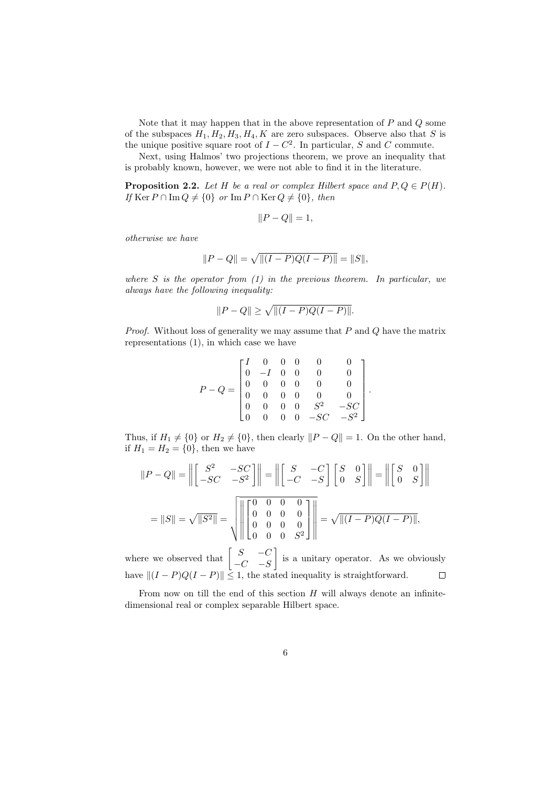Note that it may happen that in the above representation of  $P$  and  $Q$  some of the subspaces  $H_1, H_2, H_3, H_4, K$  are zero subspaces. Observe also that S is the unique positive square root of  $I - C<sup>2</sup>$ . In particular, S and C commute.

Next, using Halmos' two projections theorem, we prove an inequality that is probably known, however, we were not able to find it in the literature.

**Proposition 2.2.** Let H be a real or complex Hilbert space and  $P, Q \in P(H)$ . If Ker  $P \cap \text{Im } Q \neq \{0\}$  or  $\text{Im } P \cap \text{Ker } Q \neq \{0\}$ , then

$$
||P - Q|| = 1,
$$

otherwise we have

$$
||P - Q|| = \sqrt{||(I - P)Q(I - P)||} = ||S||,
$$

where  $S$  is the operator from  $(1)$  in the previous theorem. In particular, we always have the following inequality:

$$
||P - Q|| \ge \sqrt{||(I - P)Q(I - P)||}.
$$

*Proof.* Without loss of generality we may assume that  $P$  and  $Q$  have the matrix representations (1), in which case we have

$$
P-Q=\begin{bmatrix}I&0&0&0&0&0\\0&-I&0&0&0&0\\0&0&0&0&0&0\\0&0&0&0&0&0\\0&0&0&0&S^2&-SC\\0&0&0&0&-SC&-S^2\end{bmatrix}
$$

.

Thus, if  $H_1 \neq \{0\}$  or  $H_2 \neq \{0\}$ , then clearly  $||P - Q|| = 1$ . On the other hand, if  $H_1 = H_2 = \{0\}$ , then we have

$$
||P - Q|| = \left\| \begin{bmatrix} S^2 & -SC \\ -SC & -S^2 \end{bmatrix} \right\| = \left\| \begin{bmatrix} S & -C \\ -C & -S \end{bmatrix} \begin{bmatrix} S & 0 \\ 0 & S \end{bmatrix} \right\| = \left\| \begin{bmatrix} S & 0 \\ 0 & S \end{bmatrix} \right\|
$$

$$
= ||S|| = \sqrt{||S^2||} = \sqrt{||S^2||} = \sqrt{||\begin{bmatrix} 0 & 0 & 0 & 0 \\ 0 & 0 & 0 & 0 \\ 0 & 0 & 0 & 0 \\ 0 & 0 & 0 & S^2 \end{bmatrix} \right\| = \sqrt{||(I - P)Q(I - P)||},
$$

where we observed that  $\begin{bmatrix} S & -C \ C & C \end{bmatrix}$ is a unitary operator. As we obviously  $-C$  −S have  $||(I - P)Q(I - P)|| \leq 1$ , the stated inequality is straightforward.  $\Box$ 

From now on till the end of this section  $H$  will always denote an infinitedimensional real or complex separable Hilbert space.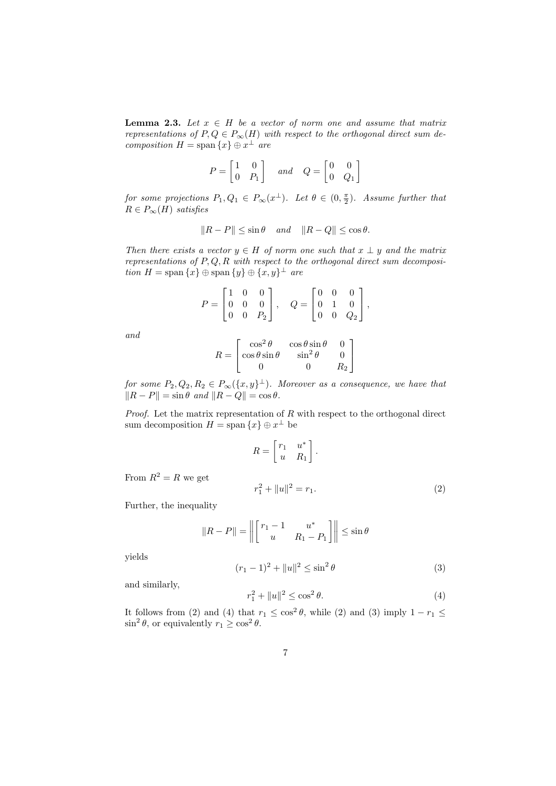**Lemma 2.3.** Let  $x \in H$  be a vector of norm one and assume that matrix representations of  $P, Q \in P_{\infty}(H)$  with respect to the orthogonal direct sum decomposition  $H = \text{span}\{x\} \oplus x^{\perp}$  are

$$
P = \begin{bmatrix} 1 & 0 \\ 0 & P_1 \end{bmatrix} \quad and \quad Q = \begin{bmatrix} 0 & 0 \\ 0 & Q_1 \end{bmatrix}
$$

for some projections  $P_1, Q_1 \in P_{\infty}(x^{\perp}).$  Let  $\theta \in (0, \frac{\pi}{2})$ . Assume further that  $R \in P_{\infty}(H)$  satisfies

$$
||R - P|| \le \sin \theta \quad and \quad ||R - Q|| \le \cos \theta.
$$

Then there exists a vector  $y \in H$  of norm one such that  $x \perp y$  and the matrix representations of  $P, Q, R$  with respect to the orthogonal direct sum decomposition  $H = \text{span}\{x\} \oplus \text{span}\{y\} \oplus \{x, y\}^{\perp}$  are

$$
P = \begin{bmatrix} 1 & 0 & 0 \\ 0 & 0 & 0 \\ 0 & 0 & P_2 \end{bmatrix}, \quad Q = \begin{bmatrix} 0 & 0 & 0 \\ 0 & 1 & 0 \\ 0 & 0 & Q_2 \end{bmatrix},
$$

and

$$
R = \begin{bmatrix} \cos^2 \theta & \cos \theta \sin \theta & 0\\ \cos \theta \sin \theta & \sin^2 \theta & 0\\ 0 & 0 & R_2 \end{bmatrix}
$$

for some  $P_2, Q_2, R_2 \in P_{\infty}(\lbrace x,y \rbrace^{\perp}).$  Moreover as a consequence, we have that  $\|R - P\| = \sin \theta$  and  $\|R - Q\| = \cos \theta$ .

*Proof.* Let the matrix representation of  $R$  with respect to the orthogonal direct sum decomposition  $H = \text{span} \{x\} \oplus x^{\perp}$  be

$$
R = \begin{bmatrix} r_1 & u^* \\ u & R_1 \end{bmatrix}.
$$
  
From  $R^2 = R$  we get  

$$
r_1^2 + ||u||^2 = r_1.
$$
 (2)

Further, the inequality

$$
||R - P|| = \left\| \begin{bmatrix} r_1 - 1 & u^* \\ u & R_1 - P_1 \end{bmatrix} \right\| \le \sin \theta
$$
  

$$
(r_1 - 1)^2 + ||u||^2 \le \sin^2 \theta
$$
 (3)

yields

and similarly,

$$
r_1^2 + ||u||^2 \le \cos^2 \theta. \tag{4}
$$

It follows from (2) and (4) that  $r_1 \n\t\leq \n\t\cos^2 \theta$ , while (2) and (3) imply  $1 - r_1 \n\t\leq$  $\sin^2 \theta$ , or equivalently  $r_1 \ge \cos^2 \theta$ .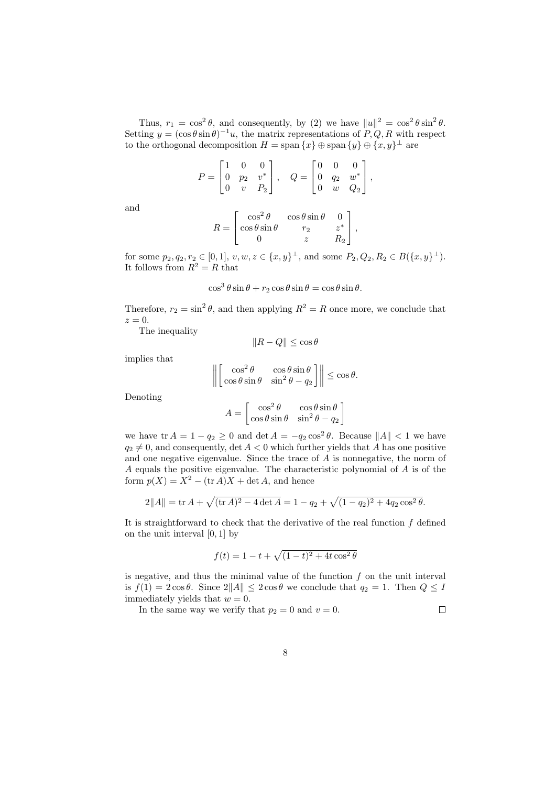Thus,  $r_1 = \cos^2 \theta$ , and consequently, by (2) we have  $||u||^2 = \cos^2 \theta \sin^2 \theta$ . Setting  $y = (\cos \theta \sin \theta)^{-1}u$ , the matrix representations of P, Q, R with respect to the orthogonal decomposition  $H = \text{span} \{x\} \oplus \text{span} \{y\} \oplus \{x, y\}^{\perp}$  are

$$
P = \begin{bmatrix} 1 & 0 & 0 \\ 0 & p_2 & v^* \\ 0 & v & P_2 \end{bmatrix}, \quad Q = \begin{bmatrix} 0 & 0 & 0 \\ 0 & q_2 & w^* \\ 0 & w & Q_2 \end{bmatrix},
$$

and

$$
R = \begin{bmatrix} \cos^2 \theta & \cos \theta \sin \theta & 0 \\ \cos \theta \sin \theta & r_2 & z^* \\ 0 & z & R_2 \end{bmatrix},
$$

for some  $p_2, q_2, r_2 \in [0, 1], v, w, z \in \{x, y\}^{\perp}$ , and some  $P_2, Q_2, R_2 \in B(\{x, y\}^{\perp})$ . It follows from  $R^2 = R$  that

$$
\cos^3\theta\sin\theta + r_2\cos\theta\sin\theta = \cos\theta\sin\theta.
$$

Therefore,  $r_2 = \sin^2 \theta$ , and then applying  $R^2 = R$  once more, we conclude that  $z=0.$ 

The inequality

$$
||R - Q|| \le \cos \theta
$$

implies that

$$
\left\| \begin{bmatrix} \cos^2 \theta & \cos \theta \sin \theta \\ \cos \theta \sin \theta & \sin^2 \theta - q_2 \end{bmatrix} \right\| \le \cos \theta.
$$

Denoting

$$
A = \begin{bmatrix} \cos^2 \theta & \cos \theta \sin \theta \\ \cos \theta \sin \theta & \sin^2 \theta - q_2 \end{bmatrix}
$$

we have  $\text{tr } A = 1 - q_2 \geq 0$  and  $\det A = -q_2 \cos^2 \theta$ . Because  $||A|| < 1$  we have  $q_2 \neq 0$ , and consequently, det  $A < 0$  which further yields that A has one positive and one negative eigenvalue. Since the trace of A is nonnegative, the norm of A equals the positive eigenvalue. The characteristic polynomial of A is of the form  $p(X) = X^2 - (\text{tr }A)X + \det A$ , and hence

$$
2||A|| = \text{tr}\,A + \sqrt{(\text{tr}\,A)^2 - 4\det A} = 1 - q_2 + \sqrt{(1 - q_2)^2 + 4q_2\cos^2\theta}.
$$

It is straightforward to check that the derivative of the real function  $f$  defined on the unit interval  $[0, 1]$  by

$$
f(t) = 1 - t + \sqrt{(1 - t)^2 + 4t \cos^2 \theta}
$$

is negative, and thus the minimal value of the function  $f$  on the unit interval is  $f(1) = 2\cos\theta$ . Since  $2||A|| \leq 2\cos\theta$  we conclude that  $q_2 = 1$ . Then  $Q \leq I$ immediately yields that  $w = 0$ .  $\Box$ 

In the same way we verify that  $p_2 = 0$  and  $v = 0$ .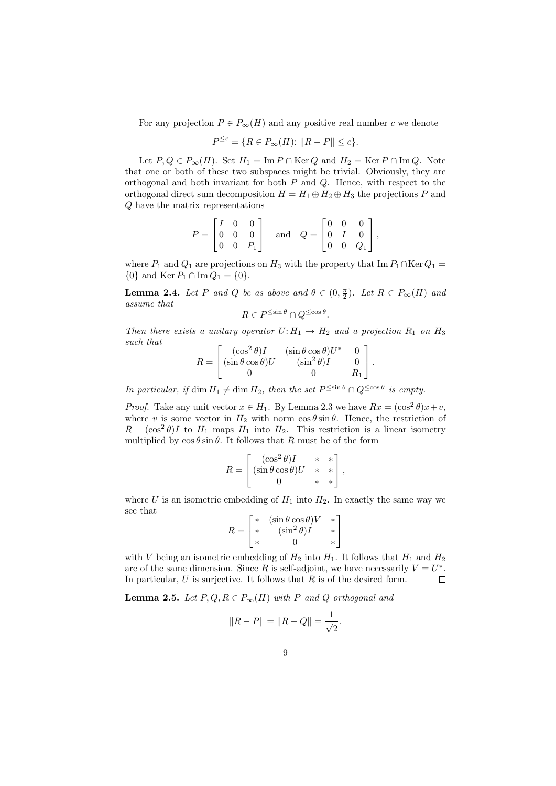For any projection  $P \in P_{\infty}(H)$  and any positive real number c we denote

$$
P^{\leq c} = \{ R \in P_{\infty}(H) : ||R - P|| \leq c \}.
$$

Let  $P, Q \in P_{\infty}(H)$ . Set  $H_1 = \text{Im } P \cap \text{Ker } Q$  and  $H_2 = \text{Ker } P \cap \text{Im } Q$ . Note that one or both of these two subspaces might be trivial. Obviously, they are orthogonal and both invariant for both  $P$  and  $Q$ . Hence, with respect to the orthogonal direct sum decomposition  $H = H_1 \oplus H_2 \oplus H_3$  the projections P and Q have the matrix representations

$$
P = \begin{bmatrix} I & 0 & 0 \\ 0 & 0 & 0 \\ 0 & 0 & P_1 \end{bmatrix} \quad \text{and} \quad Q = \begin{bmatrix} 0 & 0 & 0 \\ 0 & I & 0 \\ 0 & 0 & Q_1 \end{bmatrix},
$$

where  $P_1$  and  $Q_1$  are projections on  $H_3$  with the property that Im  $P_1 \cap \text{Ker } Q_1 =$  ${0}$  and Ker  $P_1 \cap \text{Im } Q_1 = {0}.$ 

**Lemma 2.4.** Let P and Q be as above and  $\theta \in (0, \frac{\pi}{2})$ . Let  $R \in P_{\infty}(H)$  and assume that

$$
R\in P^{\leq\sin\theta}\cap Q^{\leq\cos\theta}
$$

.

Then there exists a unitary operator  $U: H_1 \to H_2$  and a projection  $R_1$  on  $H_3$ such that  $\overline{Q}$  (ex.  $\tau$ )

$$
R = \begin{bmatrix} (\cos^2 \theta)I & (\sin \theta \cos \theta)U^* & 0\\ (\sin \theta \cos \theta)U & (\sin^2 \theta)I & 0\\ 0 & 0 & R_1 \end{bmatrix}.
$$

In particular, if  $\dim H_1 \neq \dim H_2$ , then the set  $P^{\leq \sin \theta} \cap Q^{\leq \cos \theta}$  is empty.

*Proof.* Take any unit vector  $x \in H_1$ . By Lemma 2.3 we have  $Rx = (\cos^2 \theta)x + v$ , where v is some vector in  $H_2$  with norm  $\cos \theta \sin \theta$ . Hence, the restriction of  $R - (\cos^2 \theta)I$  to  $H_1$  maps  $H_1$  into  $H_2$ . This restriction is a linear isometry multiplied by  $\cos \theta \sin \theta$ . It follows that R must be of the form

$$
R = \begin{bmatrix} (\cos^2 \theta)I & * & * \\ (\sin \theta \cos \theta)U & * & * \\ 0 & * & * \end{bmatrix},
$$

where U is an isometric embedding of  $H_1$  into  $H_2$ . In exactly the same way we see that

$$
R = \begin{bmatrix} * & (\sin \theta \cos \theta)V & * \\ * & (\sin^2 \theta)I & * \\ * & 0 & * \end{bmatrix}
$$

with V being an isometric embedding of  $H_2$  into  $H_1$ . It follows that  $H_1$  and  $H_2$ are of the same dimension. Since R is self-adjoint, we have necessarily  $V = U^*$ . In particular,  $U$  is surjective. It follows that  $R$  is of the desired form.  $\Box$ 

**Lemma 2.5.** Let  $P, Q, R \in P_{\infty}(H)$  with P and Q orthogonal and

$$
||R - P|| = ||R - Q|| = \frac{1}{\sqrt{2}}.
$$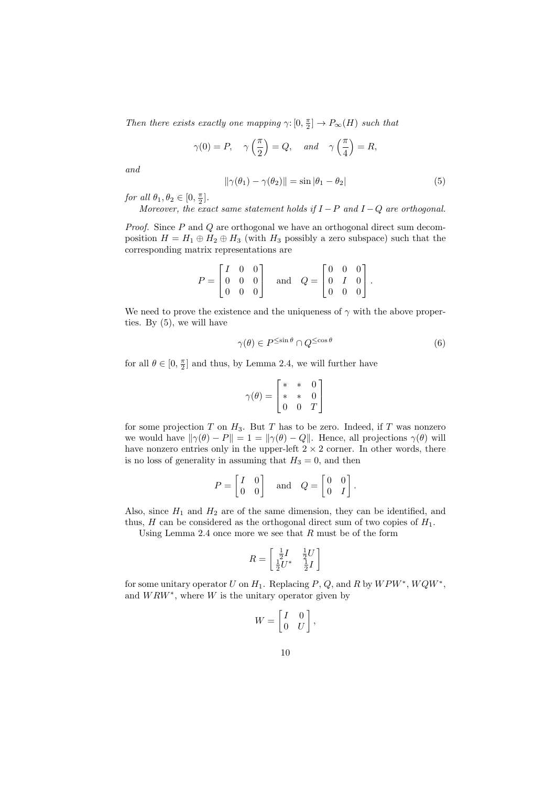Then there exists exactly one mapping  $\gamma: [0, \frac{\pi}{2}] \to P_{\infty}(H)$  such that

$$
\gamma(0) = P, \quad \gamma\left(\frac{\pi}{2}\right) = Q, \quad \text{and} \quad \gamma\left(\frac{\pi}{4}\right) = R,
$$

and

$$
\|\gamma(\theta_1) - \gamma(\theta_2)\| = \sin|\theta_1 - \theta_2| \tag{5}
$$

for all  $\theta_1, \theta_2 \in [0, \frac{\pi}{2}].$ 

Moreover, the exact same statement holds if  $I-P$  and  $I-Q$  are orthogonal.

Proof. Since P and Q are orthogonal we have an orthogonal direct sum decomposition  $H = H_1 \oplus H_2 \oplus H_3$  (with  $H_3$  possibly a zero subspace) such that the corresponding matrix representations are

$$
P = \begin{bmatrix} I & 0 & 0 \\ 0 & 0 & 0 \\ 0 & 0 & 0 \end{bmatrix} \quad \text{and} \quad Q = \begin{bmatrix} 0 & 0 & 0 \\ 0 & I & 0 \\ 0 & 0 & 0 \end{bmatrix}.
$$

We need to prove the existence and the uniqueness of  $\gamma$  with the above properties. By (5), we will have

$$
\gamma(\theta) \in P^{\leq \sin \theta} \cap Q^{\leq \cos \theta} \tag{6}
$$

for all  $\theta \in [0, \frac{\pi}{2}]$  and thus, by Lemma 2.4, we will further have

$$
\gamma(\theta) = \begin{bmatrix} * & * & 0 \\ * & * & 0 \\ 0 & 0 & T \end{bmatrix}
$$

for some projection  $T$  on  $H_3$ . But  $T$  has to be zero. Indeed, if  $T$  was nonzero we would have  $\|\gamma(\theta) - P\| = 1 = \|\gamma(\theta) - Q\|$ . Hence, all projections  $\gamma(\theta)$  will have nonzero entries only in the upper-left  $2 \times 2$  corner. In other words, there is no loss of generality in assuming that  $H_3 = 0$ , and then

$$
P = \begin{bmatrix} I & 0 \\ 0 & 0 \end{bmatrix} \quad \text{and} \quad Q = \begin{bmatrix} 0 & 0 \\ 0 & I \end{bmatrix}.
$$

Also, since  $H_1$  and  $H_2$  are of the same dimension, they can be identified, and thus, H can be considered as the orthogonal direct sum of two copies of  $H_1$ .

Using Lemma 2.4 once more we see that  $R$  must be of the form

$$
R = \begin{bmatrix} \frac{1}{2}I & \frac{1}{2}U \\ \frac{1}{2}U^* & \frac{1}{2}I \end{bmatrix}
$$

for some unitary operator U on  $H_1$ . Replacing P, Q, and R by  $WPW^*$ ,  $WQW^*$ , and  $WRW^*$ , where W is the unitary operator given by

$$
W = \begin{bmatrix} I & 0 \\ 0 & U \end{bmatrix},
$$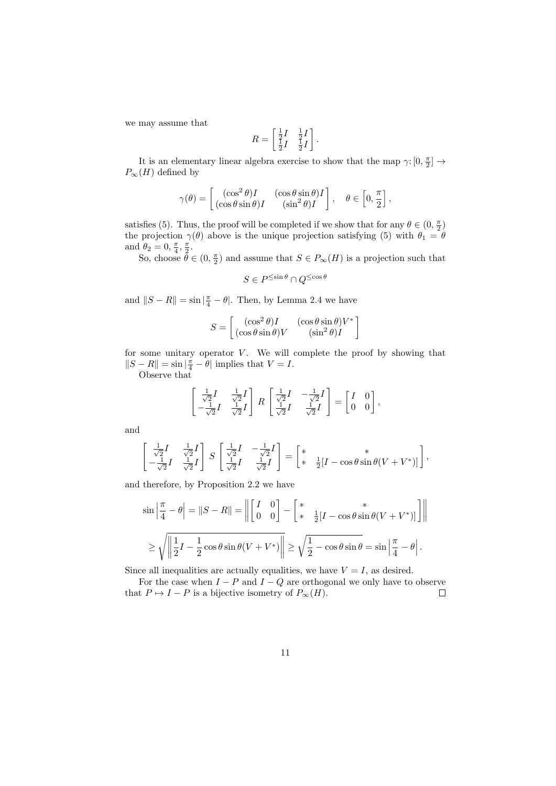we may assume that

$$
R = \begin{bmatrix} \frac{1}{2}I & \frac{1}{2}I \\ \frac{1}{2}I & \frac{1}{2}I \end{bmatrix}.
$$

It is an elementary linear algebra exercise to show that the map  $\gamma\colon [0,\frac{\pi}{2}] \to$  $P_{\infty}(H)$  defined by

$$
\gamma(\theta) = \begin{bmatrix} (\cos^2 \theta)I & (\cos \theta \sin \theta)I \\ (\cos \theta \sin \theta)I & (\sin^2 \theta)I \end{bmatrix}, \quad \theta \in \left[0, \frac{\pi}{2}\right],
$$

satisfies (5). Thus, the proof will be completed if we show that for any  $\theta \in (0, \frac{\pi}{2})$ the projection  $\gamma(\theta)$  above is the unique projection satisfying (5) with  $\theta_1 = \theta$ and  $\theta_2 = 0, \frac{\pi}{4}, \frac{\pi}{2}$ .

So, choose  $\tilde{\theta} \in (0, \frac{\pi}{2})$  and assume that  $S \in P_{\infty}(H)$  is a projection such that

$$
S \in P^{\leq \sin \theta} \cap Q^{\leq \cos \theta}
$$

and  $||S - R|| = \sin \left| \frac{\pi}{4} - \theta \right|$ . Then, by Lemma 2.4 we have

$$
S = \begin{bmatrix} (\cos^2 \theta)I & (\cos \theta \sin \theta)V^* \\ (\cos \theta \sin \theta)V & (\sin^2 \theta)I \end{bmatrix}
$$

for some unitary operator  $V$ . We will complete the proof by showing that  $||S - R|| = \sin \left| \frac{\pi}{4} - \theta \right|$  implies that  $V = I$ .

Observe that

$$
\begin{bmatrix} \frac{1}{\sqrt{2}}I & \frac{1}{\sqrt{2}}I \\ -\frac{1}{\sqrt{2}}I & \frac{1}{\sqrt{2}}I \end{bmatrix} R \begin{bmatrix} \frac{1}{\sqrt{2}}I & -\frac{1}{\sqrt{2}}I \\ \frac{1}{\sqrt{2}}I & \frac{1}{\sqrt{2}}I \end{bmatrix} = \begin{bmatrix} I & 0 \\ 0 & 0 \end{bmatrix},
$$

and

$$
\begin{bmatrix} \frac{1}{\sqrt{2}}I & \frac{1}{\sqrt{2}}I \\ -\frac{1}{\sqrt{2}}I & \frac{1}{\sqrt{2}}I \end{bmatrix} S \begin{bmatrix} \frac{1}{\sqrt{2}}I & -\frac{1}{\sqrt{2}}I \\ \frac{1}{\sqrt{2}}I & \frac{1}{\sqrt{2}}I \end{bmatrix} = \begin{bmatrix} * & * \\ * & \frac{1}{2}[I - \cos\theta\sin\theta(V + V^*)] \end{bmatrix},
$$

and therefore, by Proposition 2.2 we have

$$
\sin\left|\frac{\pi}{4} - \theta\right| = \|S - R\| = \left\| \begin{bmatrix} I & 0 \\ 0 & 0 \end{bmatrix} - \begin{bmatrix} * & * \\ * & \frac{1}{2}[I - \cos\theta\sin\theta(V + V^*)] \end{bmatrix} \right\|
$$
  

$$
\geq \sqrt{\left\| \frac{1}{2}I - \frac{1}{2}\cos\theta\sin\theta(V + V^*) \right\|} \geq \sqrt{\frac{1}{2} - \cos\theta\sin\theta} = \sin\left|\frac{\pi}{4} - \theta\right|.
$$

Since all inequalities are actually equalities, we have  $V = I$ , as desired.

For the case when  $I - P$  and  $I - Q$  are orthogonal we only have to observe that  $P \mapsto I - P$  is a bijective isometry of  $P_{\infty}(H)$ .  $\Box$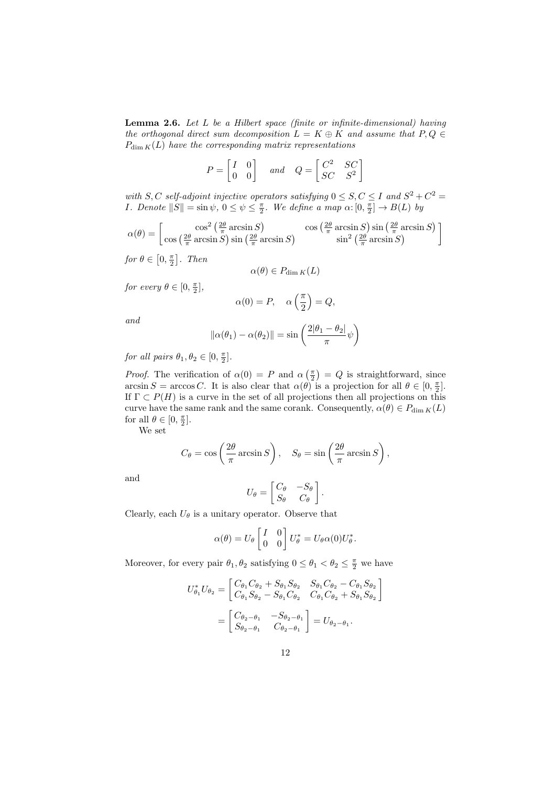**Lemma 2.6.** Let  $L$  be a Hilbert space (finite or infinite-dimensional) having the orthogonal direct sum decomposition  $L = K \oplus K$  and assume that  $P, Q \in$  $P_{\dim K}(L)$  have the corresponding matrix representations

$$
P = \begin{bmatrix} I & 0 \\ 0 & 0 \end{bmatrix} \quad and \quad Q = \begin{bmatrix} C^2 & SC \\ SC & S^2 \end{bmatrix}
$$

with S, C self-adjoint injective operators satisfying  $0 \leq S, C \leq I$  and  $S^2 + C^2 =$ *I. Denote*  $||S|| = \sin \psi$ ,  $0 \le \psi \le \frac{\pi}{2}$ . We define a map  $\alpha: [0, \frac{\pi}{2}] \to B(L)$  by

$$
\alpha(\theta) = \begin{bmatrix} \cos^2\left(\frac{2\theta}{\pi}\arcsin S\right) & \cos\left(\frac{2\theta}{\pi}\arcsin S\right) \sin\left(\frac{2\theta}{\pi}\arcsin S\right) \\ \cos\left(\frac{2\theta}{\pi}\arcsin S\right) \sin\left(\frac{2\theta}{\pi}\arcsin S\right) & \sin^2\left(\frac{2\theta}{\pi}\arcsin S\right) \end{bmatrix}
$$

for  $\theta \in \left[0, \frac{\pi}{2}\right]$ . Then

$$
\alpha(\theta) \in P_{\dim K}(L)
$$

for every  $\theta \in [0, \frac{\pi}{2}],$ 

$$
\alpha(0) = P, \quad \alpha\left(\frac{\pi}{2}\right) = Q,
$$

and

$$
\|\alpha(\theta_1) - \alpha(\theta_2)\| = \sin\left(\frac{2|\theta_1 - \theta_2|}{\pi}\psi\right)
$$

for all pairs  $\theta_1, \theta_2 \in [0, \frac{\pi}{2}].$ 

*Proof.* The verification of  $\alpha(0) = P$  and  $\alpha\left(\frac{\pi}{2}\right) = Q$  is straightforward, since  $\arcsin S = \arccos C$ . It is also clear that  $\alpha(\theta)$  is a projection for all  $\theta \in [0, \frac{\pi}{2}]$ . If  $\Gamma \subset P(H)$  is a curve in the set of all projections then all projections on this curve have the same rank and the same corank. Consequently,  $\alpha(\theta) \in P_{\dim K}(L)$ for all  $\theta \in [0, \frac{\pi}{2}].$ 

We set

$$
C_{\theta} = \cos\left(\frac{2\theta}{\pi}\arcsin S\right), \quad S_{\theta} = \sin\left(\frac{2\theta}{\pi}\arcsin S\right),
$$

and

$$
U_{\theta} = \begin{bmatrix} C_{\theta} & -S_{\theta} \\ S_{\theta} & C_{\theta} \end{bmatrix}.
$$

Clearly, each  $U_{\theta}$  is a unitary operator. Observe that

$$
\alpha(\theta) = U_{\theta} \begin{bmatrix} I & 0 \\ 0 & 0 \end{bmatrix} U_{\theta}^* = U_{\theta} \alpha(0) U_{\theta}^*.
$$

Moreover, for every pair  $\theta_1, \theta_2$  satisfying  $0 \le \theta_1 < \theta_2 \le \frac{\pi}{2}$  we have

$$
U_{\theta_1}^* U_{\theta_2} = \begin{bmatrix} C_{\theta_1} C_{\theta_2} + S_{\theta_1} S_{\theta_2} & S_{\theta_1} C_{\theta_2} - C_{\theta_1} S_{\theta_2} \\ C_{\theta_1} S_{\theta_2} - S_{\theta_1} C_{\theta_2} & C_{\theta_1} C_{\theta_2} + S_{\theta_1} S_{\theta_2} \end{bmatrix}
$$
  
= 
$$
\begin{bmatrix} C_{\theta_2 - \theta_1} & -S_{\theta_2 - \theta_1} \\ S_{\theta_2 - \theta_1} & C_{\theta_2 - \theta_1} \end{bmatrix} = U_{\theta_2 - \theta_1}.
$$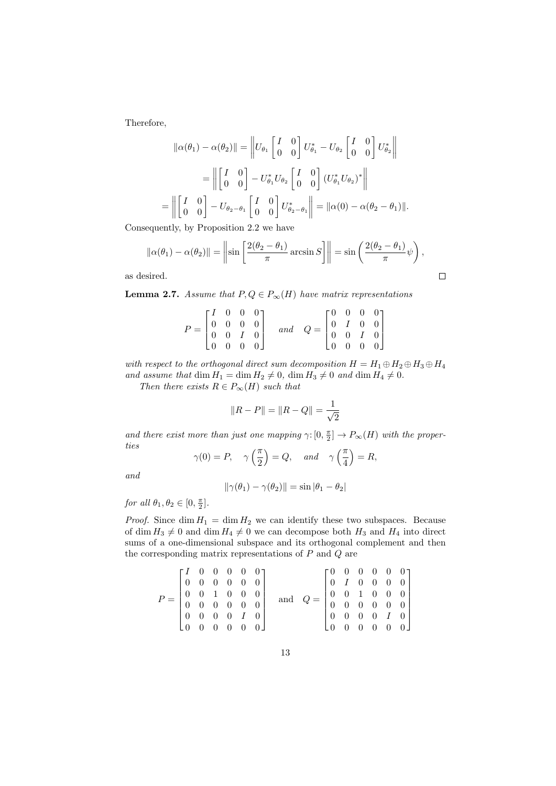Therefore,

$$
\|\alpha(\theta_1) - \alpha(\theta_2)\| = \left\| U_{\theta_1} \begin{bmatrix} I & 0 \\ 0 & 0 \end{bmatrix} U_{\theta_1}^* - U_{\theta_2} \begin{bmatrix} I & 0 \\ 0 & 0 \end{bmatrix} U_{\theta_2}^* \right\|
$$
  
= 
$$
\left\| \begin{bmatrix} I & 0 \\ 0 & 0 \end{bmatrix} - U_{\theta_1}^* U_{\theta_2} \begin{bmatrix} I & 0 \\ 0 & 0 \end{bmatrix} (U_{\theta_1}^* U_{\theta_2})^* \right\|
$$
  
= 
$$
\left\| \begin{bmatrix} I & 0 \\ 0 & 0 \end{bmatrix} - U_{\theta_2 - \theta_1} \begin{bmatrix} I & 0 \\ 0 & 0 \end{bmatrix} U_{\theta_2 - \theta_1}^* \right\| = \|\alpha(0) - \alpha(\theta_2 - \theta_1)\|.
$$

Consequently, by Proposition 2.2 we have

$$
\|\alpha(\theta_1) - \alpha(\theta_2)\| = \left\|\sin\left[\frac{2(\theta_2 - \theta_1)}{\pi}\arcsin S\right]\right\| = \sin\left(\frac{2(\theta_2 - \theta_1)}{\pi}\psi\right),\,
$$

 $\Box$ 

as desired.

**Lemma 2.7.** Assume that  $P, Q \in P_{\infty}(H)$  have matrix representations

|  |  |  | $P = \begin{bmatrix} I & 0 & 0 & 0 \\ 0 & 0 & 0 & 0 \\ 0 & 0 & I & 0 \\ 0 & 0 & 0 & 0 \end{bmatrix} \quad \text{ and } \quad Q = \begin{bmatrix} 0 & 0 & 0 & 0 \\ 0 & I & 0 & 0 \\ 0 & 0 & I & 0 \\ 0 & 0 & 0 & 0 \end{bmatrix}$ |  |  |  |
|--|--|--|----------------------------------------------------------------------------------------------------------------------------------------------------------------------------------------------------------------------------------|--|--|--|
|  |  |  |                                                                                                                                                                                                                                  |  |  |  |
|  |  |  |                                                                                                                                                                                                                                  |  |  |  |

with respect to the orthogonal direct sum decomposition  $H = H_1 \oplus H_2 \oplus H_3 \oplus H_4$ and assume that dim  $H_1 = \dim H_2 \neq 0$ ,  $\dim H_3 \neq 0$  and  $\dim H_4 \neq 0$ .

Then there exists  $R \in P_{\infty}(H)$  such that

$$
||R - P|| = ||R - Q|| = \frac{1}{\sqrt{2}}
$$

and there exist more than just one mapping  $\gamma: [0, \frac{\pi}{2}] \to P_{\infty}(H)$  with the properties

$$
\gamma(0) = P, \quad \gamma\left(\frac{\pi}{2}\right) = Q, \quad \text{and} \quad \gamma\left(\frac{\pi}{4}\right) = R,
$$

and

$$
\|\gamma(\theta_1) - \gamma(\theta_2)\| = \sin |\theta_1 - \theta_2|
$$

for all  $\theta_1, \theta_2 \in [0, \frac{\pi}{2}].$ 

*Proof.* Since  $\dim H_1 = \dim H_2$  we can identify these two subspaces. Because of dim  $H_3 \neq 0$  and dim  $H_4 \neq 0$  we can decompose both  $H_3$  and  $H_4$  into direct sums of a one-dimensional subspace and its orthogonal complement and then the corresponding matrix representations of  $P$  and  $Q$  are

$$
P = \begin{bmatrix} I & 0 & 0 & 0 & 0 & 0 \\ 0 & 0 & 0 & 0 & 0 & 0 \\ 0 & 0 & 1 & 0 & 0 & 0 \\ 0 & 0 & 0 & 0 & 0 & 0 \\ 0 & 0 & 0 & 0 & I & 0 \\ 0 & 0 & 0 & 0 & 0 & 0 \end{bmatrix} \text{ and } Q = \begin{bmatrix} 0 & 0 & 0 & 0 & 0 & 0 \\ 0 & I & 0 & 0 & 0 & 0 \\ 0 & 0 & 1 & 0 & 0 & 0 \\ 0 & 0 & 0 & 0 & 0 & 0 \\ 0 & 0 & 0 & 0 & I & 0 \\ 0 & 0 & 0 & 0 & 0 & 0 \end{bmatrix}
$$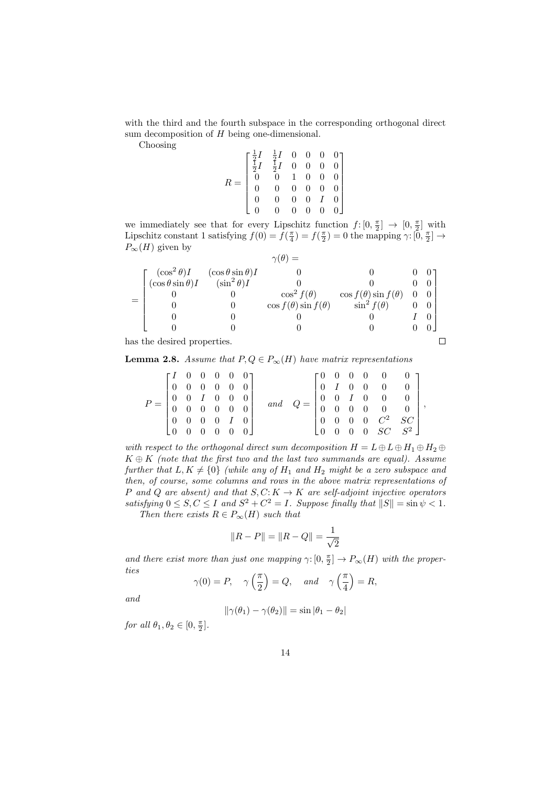with the third and the fourth subspace in the corresponding orthogonal direct sum decomposition of  $H$  being one-dimensional.

Choosing

$$
R = \begin{bmatrix} \frac{1}{2}I & \frac{1}{2}I & 0 & 0 & 0 & 0 \\ \frac{1}{2}I & \frac{1}{2}I & 0 & 0 & 0 & 0 \\ 0 & 0 & 1 & 0 & 0 & 0 \\ 0 & 0 & 0 & 0 & 0 & 0 \\ 0 & 0 & 0 & 0 & I & 0 \\ 0 & 0 & 0 & 0 & 0 & 0 \end{bmatrix}
$$

we immediately see that for every Lipschitz function  $f: [0, \frac{\pi}{2}] \to [0, \frac{\pi}{2}]$  with Lipschitz constant 1 satisfying  $f(0) = f(\frac{\pi}{4}) = f(\frac{\pi}{2}) = 0$  the mapping  $\gamma: [0, \frac{\pi}{2}] \to$  $P_{\infty}(H)$  given by

| $\left[ \frac{(\cos^2 \theta)I}{(\cos \theta \sin \theta)I} \right]$ | $(\cos \theta \sin \theta)I$<br>$(\sin^2 \theta)I$ |                                 |                                 |  |
|----------------------------------------------------------------------|----------------------------------------------------|---------------------------------|---------------------------------|--|
|                                                                      |                                                    |                                 |                                 |  |
|                                                                      |                                                    | $\cos^2 f(\theta)$              | $\cos f(\theta) \sin f(\theta)$ |  |
|                                                                      |                                                    | $\cos f(\theta) \sin f(\theta)$ | $\sin^2 f(\theta)$              |  |
|                                                                      |                                                    |                                 |                                 |  |
|                                                                      |                                                    |                                 |                                 |  |
| as the desired properties.                                           |                                                    |                                 |                                 |  |

has the desired properties.

**Lemma 2.8.** Assume that  $P, Q \in P_{\infty}(H)$  have matrix representations

|  |  |  |  |  |  | $\begin{bmatrix} I & 0 & 0 & 0 & 0 & 0 \end{bmatrix}$<br>$\begin{bmatrix} 0 & 0 & 0 & 0 & 0 & 0 \end{bmatrix}$<br>$\begin{bmatrix} 0 & 0 & I & 0 & 0 & 0 \\ 0 & 0 & 0 & 0 & 0 & 0 \end{bmatrix}$<br>$\begin{bmatrix} 0 & 0 & 0 & 0 & I & 0 \end{bmatrix}$<br>$\begin{bmatrix} 0 & 0 & 0 & 0 & 0 & 0 \end{bmatrix}$ |  |  |  |  |  |  | $\left[\begin{matrix} 0 & 0 & 0 & 0 & 0 & 0 \\ 0 & I & 0 & 0 & 0 & 0 \end{matrix}\right]$<br>$Q = \begin{bmatrix} 0 & I & 0 & 0 & 0 & 0 \ 0 & 0 & I & 0 & 0 & 0 \ 0 & 0 & 0 & 0 & 0 & 0 \ 0 & 0 & 0 & 0 & C^2 & SC \ 0 & 0 & 0 & 0 & SC & S^2 \end{bmatrix},$ |  |  |
|--|--|--|--|--|--|--------------------------------------------------------------------------------------------------------------------------------------------------------------------------------------------------------------------------------------------------------------------------------------------------------------------|--|--|--|--|--|--|---------------------------------------------------------------------------------------------------------------------------------------------------------------------------------------------------------------------------------------------------------------|--|--|
|--|--|--|--|--|--|--------------------------------------------------------------------------------------------------------------------------------------------------------------------------------------------------------------------------------------------------------------------------------------------------------------------|--|--|--|--|--|--|---------------------------------------------------------------------------------------------------------------------------------------------------------------------------------------------------------------------------------------------------------------|--|--|

with respect to the orthogonal direct sum decomposition  $H = L \oplus L \oplus H_1 \oplus H_2 \oplus$  $K \oplus K$  (note that the first two and the last two summands are equal). Assume further that  $L, K \neq \{0\}$  (while any of  $H_1$  and  $H_2$  might be a zero subspace and then, of course, some columns and rows in the above matrix representations of P and Q are absent) and that  $S, C: K \to K$  are self-adjoint injective operators satisfying  $0 \leq S, C \leq I$  and  $S^2 + C^2 = I$ . Suppose finally that  $||S|| = \sin \psi < 1$ .

Then there exists  $R \in P_{\infty}(H)$  such that

$$
||R - P|| = ||R - Q|| = \frac{1}{\sqrt{2}}
$$

and there exist more than just one mapping  $\gamma: [0, \frac{\pi}{2}] \to P_{\infty}(H)$  with the properties

$$
\gamma(0) = P, \quad \gamma\left(\frac{\pi}{2}\right) = Q, \quad \text{and} \quad \gamma\left(\frac{\pi}{4}\right) = R,
$$

and

$$
\|\gamma(\theta_1) - \gamma(\theta_2)\| = \sin |\theta_1 - \theta_2|
$$

for all  $\theta_1, \theta_2 \in [0, \frac{\pi}{2}].$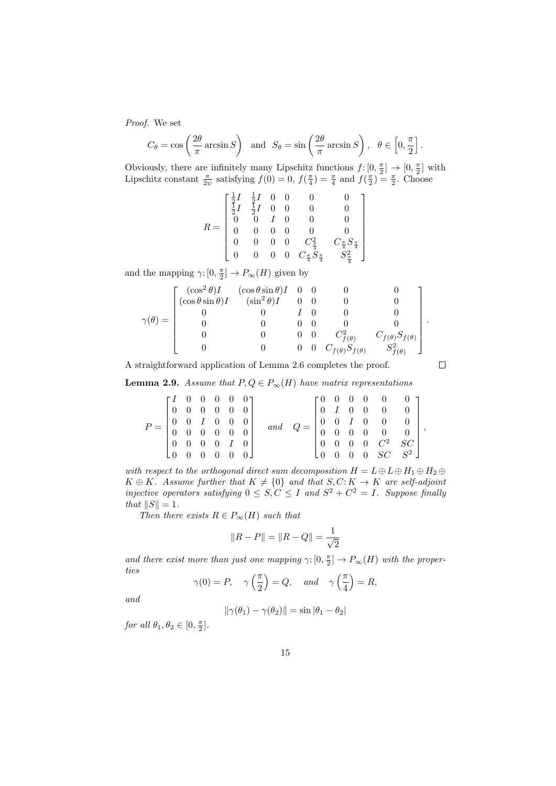Proof. We set

$$
C_{\theta} = \cos\left(\frac{2\theta}{\pi}\arcsin S\right)
$$
 and  $S_{\theta} = \sin\left(\frac{2\theta}{\pi}\arcsin S\right)$ ,  $\theta \in \left[0, \frac{\pi}{2}\right]$ 

Obviously, there are infinitely many Lipschitz functions  $f: [0, \frac{\pi}{2}] \to [0, \frac{\pi}{2}]$  with Lipschitz constant  $\frac{\pi}{2\psi}$  satisfying  $f(0) = 0$ ,  $f(\frac{\pi}{4}) = \frac{\pi}{4}$  and  $f(\frac{\pi}{2}) = \frac{\pi}{2}$ . Choose

$$
R=\left[\begin{matrix}\frac{1}{2}I & \frac{1}{2}I & 0 & 0 & 0 & 0\\ \frac{1}{2}I & \frac{1}{2}I & 0 & 0 & 0 & 0\\ 0 & 0 & I & 0 & 0 & 0\\ 0 & 0 & 0 & 0 & 0 & 0\\ 0 & 0 & 0 & 0 & C_{\frac{7}{4}}^2 & C_{\frac{7}{4}}S_{\frac{7}{4}}\\ 0 & 0 & 0 & 0 & C_{\frac{7}{4}}S_{\frac{7}{4}} & S_{\frac{2}{4}}^2\end{matrix}\right]
$$

and the mapping  $\gamma: [0, \frac{\pi}{2}] \to P_{\infty}(H)$  given by

$$
\gamma(\theta) = \begin{bmatrix} (\cos^2 \theta) I & (\cos \theta \sin \theta) I & 0 & 0 & 0 & 0 \\ (\cos \theta \sin \theta) I & (\sin^2 \theta) I & 0 & 0 & 0 & 0 \\ 0 & 0 & I & 0 & 0 & 0 & 0 \\ 0 & 0 & 0 & 0 & 0 & 0 & 0 \\ 0 & 0 & 0 & 0 & C_{f(\theta)}^2 & C_{f(\theta)} S_{f(\theta)} \\ 0 & 0 & 0 & 0 & C_{f(\theta)} S_{f(\theta)} & S_{f(\theta)}^2 \end{bmatrix}.
$$

A straightforward application of Lemma 2.6 completes the proof.

**Lemma 2.9.** Assume that  $P, Q \in P_{\infty}(H)$  have matrix representations

|       | $\Gamma I$ 0 0 0 0 0 1                                                         |          |  |                                             |     |  |          |  | $\begin{bmatrix} 0 & 0 & 0 & 0 & 0 & 0 \end{bmatrix}$                                                 |  |
|-------|--------------------------------------------------------------------------------|----------|--|---------------------------------------------|-----|--|----------|--|-------------------------------------------------------------------------------------------------------|--|
|       | $\begin{bmatrix} 0 & 0 & 0 & 0 & 0 & 0 \end{bmatrix}$                          |          |  |                                             |     |  |          |  | $\begin{bmatrix} 0 & I & 0 & 0 & 0 & 0 \end{bmatrix}$                                                 |  |
| $P =$ |                                                                                |          |  |                                             | and |  |          |  |                                                                                                       |  |
|       | $\begin{bmatrix} 0 & 0 & I & 0 & 0 & 0 \\ 0 & 0 & 0 & 0 & 0 & 0 \end{bmatrix}$ |          |  |                                             |     |  |          |  | $Q = \left[ \begin{array}{cccccc} 0 & 0 & I & 0 & 0 & 0 \ 0 & 0 & 0 & 0 & 0 & 0 \end{array} \right],$ |  |
|       | $\begin{bmatrix} 0 & 0 & 0 & 0 & I & 0 \end{bmatrix}$                          |          |  |                                             |     |  |          |  | $\begin{bmatrix} 0 & 0 & 0 & 0 & C^2 & SC \end{bmatrix}$                                              |  |
|       | LO.                                                                            | $\theta$ |  | $\begin{matrix} 0 & 0 & 0 & 0 \end{matrix}$ |     |  | $\Omega$ |  | $\begin{bmatrix} 0 & 0 & SC & S^2 \end{bmatrix}$                                                      |  |

with respect to the orthogonal direct sum decomposition  $H = L \oplus L \oplus H_1 \oplus H_2 \oplus$  $K \oplus K$ . Assume further that  $K \neq \{0\}$  and that  $S, C: K \to K$  are self-adjoint injective operators satisfying  $0 \leq S, C \leq I$  and  $S^2 + C^2 = I$ . Suppose finally that  $||S|| = 1$ .

Then there exists  $R \in P_{\infty}(H)$  such that

$$
||R - P|| = ||R - Q|| = \frac{1}{\sqrt{2}}
$$

and there exist more than just one mapping  $\gamma: [0, \frac{\pi}{2}] \to P_{\infty}(H)$  with the properties

$$
\gamma(0) = P, \quad \gamma\left(\frac{\pi}{2}\right) = Q, \quad \text{and} \quad \gamma\left(\frac{\pi}{4}\right) = R,
$$

and

$$
\|\gamma(\theta_1) - \gamma(\theta_2)\| = \sin |\theta_1 - \theta_2|
$$

for all  $\theta_1, \theta_2 \in [0, \frac{\pi}{2}].$ 

 $\Box$ 

.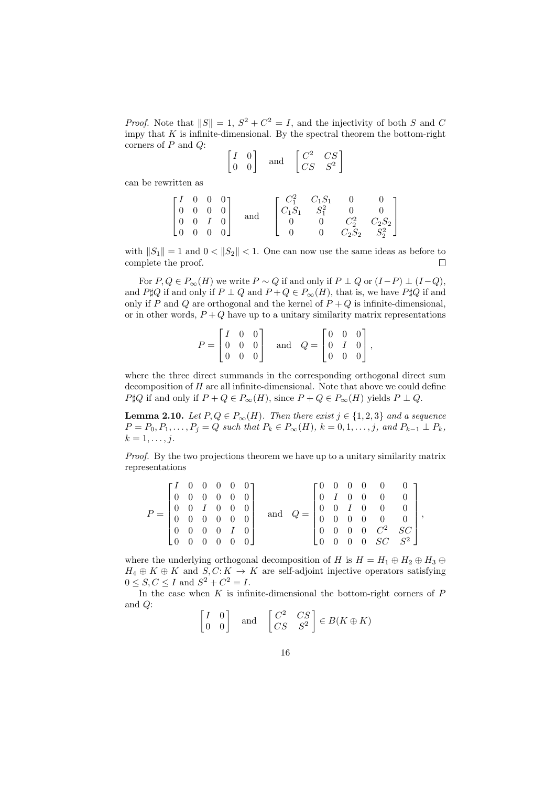*Proof.* Note that  $||S|| = 1$ ,  $S^2 + C^2 = I$ , and the injectivity of both S and C impy that  $K$  is infinite-dimensional. By the spectral theorem the bottom-right corners of  $P$  and  $Q$ :

$$
\begin{bmatrix} I & 0 \\ 0 & 0 \end{bmatrix} \quad \text{and} \quad \begin{bmatrix} C^2 & CS \\ CS & S^2 \end{bmatrix}
$$

can be rewritten as

|  |  | $\begin{bmatrix} I & 0 & 0 & 0 \\ 0 & 0 & 0 & 0 \\ 0 & 0 & I & 0 \\ 0 & 0 & 0 & 0 \end{bmatrix} \quad \text{and}$ |  | $\left[ \begin{matrix} C_1^2 & C_1S_1 & 0 & 0 \\ C_1S_1 & S_1^2 & 0 & 0 \\ 0 & 0 & C_2^2 & C_2S_2 \\ 0 & 0 & C_2S_2 & S_2^2 \end{matrix} \right]$ |
|--|--|-------------------------------------------------------------------------------------------------------------------|--|---------------------------------------------------------------------------------------------------------------------------------------------------|

with  $||S_1|| = 1$  and  $0 < ||S_2|| < 1$ . One can now use the same ideas as before to complete the proof.  $\Box$ 

For  $P, Q \in P_{\infty}(H)$  we write  $P \sim Q$  if and only if  $P \perp Q$  or  $(I - P) \perp (I - Q)$ , and P $\sharp Q$  if and only if  $P \perp Q$  and  $P + Q \in P_{\infty}(H)$ , that is, we have P $\sharp Q$  if and only if P and Q are orthogonal and the kernel of  $P+Q$  is infinite-dimensional, or in other words,  $P + Q$  have up to a unitary similarity matrix representations

| $P = \begin{bmatrix} I & 0 & 0 \\ 0 & 0 & 0 \\ 0 & 0 & 0 \end{bmatrix}$ |  |  | and $Q = \begin{bmatrix} 0 & 0 & 0 \\ 0 & I & 0 \\ 0 & 0 & 0 \end{bmatrix}$ , |  |  |
|-------------------------------------------------------------------------|--|--|-------------------------------------------------------------------------------|--|--|

where the three direct summands in the corresponding orthogonal direct sum decomposition of  $H$  are all infinite-dimensional. Note that above we could define  $P \sharp Q$  if and only if  $P + Q \in P_{\infty}(H)$ , since  $P + Q \in P_{\infty}(H)$  yields  $P \perp Q$ .

**Lemma 2.10.** Let  $P, Q \in P_{\infty}(H)$ . Then there exist  $j \in \{1, 2, 3\}$  and a sequence  $P = P_0, P_1, \ldots, P_j = Q$  such that  $P_k \in P_{\infty}(H)$ ,  $k = 0, 1, \ldots, j$ , and  $P_{k-1} \perp P_k$ ,  $k=1,\ldots,j$ .

Proof. By the two projections theorem we have up to a unitary similarity matrix representations

| $P = \begin{bmatrix} 0 & 0 & I & 0 & 0 & 0 \ 0 & 0 & 0 & 0 & 0 & 0 \end{bmatrix}$ |  |  | $\begin{bmatrix} I & 0 & 0 & 0 & 0 & 0 \end{bmatrix}$<br>$\begin{bmatrix} 0 & 0 & 0 & 0 & 0 & 0 \end{bmatrix}$<br>$\begin{bmatrix} 0 & 0 & 0 & 0 & I & 0 \end{bmatrix}$ | and |  |  | $\begin{bmatrix} 0 & 0 & 0 & 0 & 0 & 0 \end{bmatrix}$<br>$\begin{bmatrix} 0 & I & 0 & 0 & 0 & 0 \end{bmatrix}$<br>$Q = \left[ \begin{array}{cccccc} 0 & 0 & I & 0 & 0 & 0 \ 0 & 0 & 0 & 0 & 0 & 0 \end{array} \right],$<br>$\begin{bmatrix} 0 & 0 & 0 & 0 & C^2 & SC \end{bmatrix}$ |  |
|-----------------------------------------------------------------------------------|--|--|-------------------------------------------------------------------------------------------------------------------------------------------------------------------------|-----|--|--|-------------------------------------------------------------------------------------------------------------------------------------------------------------------------------------------------------------------------------------------------------------------------------------|--|
|                                                                                   |  |  | $\begin{bmatrix} 0 & 0 & 0 & 0 & 0 & 0 \end{bmatrix}$                                                                                                                   |     |  |  | $\begin{bmatrix} 0 & 0 & 0 & 0 & SC & S^2 \end{bmatrix}$                                                                                                                                                                                                                            |  |

where the underlying orthogonal decomposition of H is  $H = H_1 \oplus H_2 \oplus H_3 \oplus$  $H_4 \oplus K \oplus K$  and  $S, C: K \to K$  are self-adjoint injective operators satisfying  $0 \le S, C \le I$  and  $S^2 + C^2 = I$ .

In the case when  $K$  is infinite-dimensional the bottom-right corners of  $P$ and Q:

$$
\begin{bmatrix} I & 0 \\ 0 & 0 \end{bmatrix} \quad \text{and} \quad \begin{bmatrix} C^2 & CS \\ CS & S^2 \end{bmatrix} \in B(K \oplus K)
$$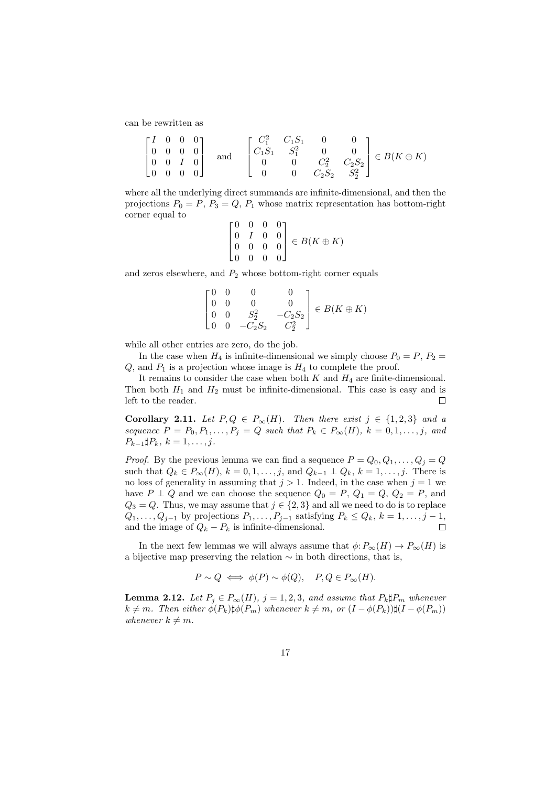can be rewritten as

$$
\begin{bmatrix} I & 0 & 0 & 0 \\ 0 & 0 & 0 & 0 \\ 0 & 0 & I & 0 \\ 0 & 0 & 0 & 0 \end{bmatrix} \text{ and } \begin{bmatrix} C_1^2 & C_1 S_1 & 0 & 0 \\ C_1 S_1 & S_1^2 & 0 & 0 \\ 0 & 0 & C_2^2 & C_2 S_2 \\ 0 & 0 & C_2 S_2 & S_2^2 \end{bmatrix} \in B(K \oplus K)
$$

where all the underlying direct summands are infinite-dimensional, and then the projections  $P_0 = P$ ,  $P_3 = Q$ ,  $P_1$  whose matrix representation has bottom-right corner equal to

$$
\begin{bmatrix} 0 & 0 & 0 & 0 \\ 0 & I & 0 & 0 \\ 0 & 0 & 0 & 0 \\ 0 & 0 & 0 & 0 \end{bmatrix} \in B(K \oplus K)
$$

and zeros elsewhere, and  $P_2$  whose bottom-right corner equals

$$
\begin{bmatrix} 0 & 0 & 0 & 0 \\ 0 & 0 & 0 & 0 \\ 0 & 0 & S_2^2 & -C_2S_2 \\ 0 & 0 & -C_2S_2 & C_2^2 \end{bmatrix} \in B(K \oplus K)
$$

while all other entries are zero, do the job.

In the case when  $H_4$  is infinite-dimensional we simply choose  $P_0 = P$ ,  $P_2 =$  $Q$ , and  $P_1$  is a projection whose image is  $H_4$  to complete the proof.

It remains to consider the case when both  $K$  and  $H_4$  are finite-dimensional. Then both  $H_1$  and  $H_2$  must be infinite-dimensional. This case is easy and is left to the reader.  $\Box$ 

Corollary 2.11. Let  $P,Q \in P_{\infty}(H)$ . Then there exist  $j \in \{1,2,3\}$  and a sequence  $P = P_0, P_1, \ldots, P_j = Q$  such that  $P_k \in P_\infty(H)$ ,  $k = 0, 1, \ldots, j$ , and  $P_{k-1} \sharp P_k, k = 1, \ldots, j.$ 

*Proof.* By the previous lemma we can find a sequence  $P = Q_0, Q_1, \ldots, Q_j = Q$ such that  $Q_k \in P_{\infty}(H)$ ,  $k = 0, 1, \ldots, j$ , and  $Q_{k-1} \perp Q_k$ ,  $k = 1, \ldots, j$ . There is no loss of generality in assuming that  $j > 1$ . Indeed, in the case when  $j = 1$  we have  $P \perp Q$  and we can choose the sequence  $Q_0 = P$ ,  $Q_1 = Q$ ,  $Q_2 = P$ , and  $Q_3 = Q$ . Thus, we may assume that  $j \in \{2,3\}$  and all we need to do is to replace  $Q_1, \ldots, Q_{j-1}$  by projections  $P_1, \ldots, P_{j-1}$  satisfying  $P_k \leq Q_k$ ,  $k = 1, \ldots, j-1$ , and the image of  $Q_k - P_k$  is infinite-dimensional.  $\Box$ 

In the next few lemmas we will always assume that  $\phi: P_\infty(H) \to P_\infty(H)$  is a bijective map preserving the relation  $\sim$  in both directions, that is,

$$
P \sim Q \iff \phi(P) \sim \phi(Q), \quad P, Q \in P_{\infty}(H).
$$

**Lemma 2.12.** Let  $P_i \in P_\infty(H)$ ,  $j = 1, 2, 3$ , and assume that  $P_k \sharp P_m$  whenever  $k \neq m$ . Then either  $\phi(P_k)$  $\sharp \phi(P_m)$  whenever  $k \neq m$ , or  $(I - \phi(P_k))\sharp (I - \phi(P_m))$ whenever  $k \neq m$ .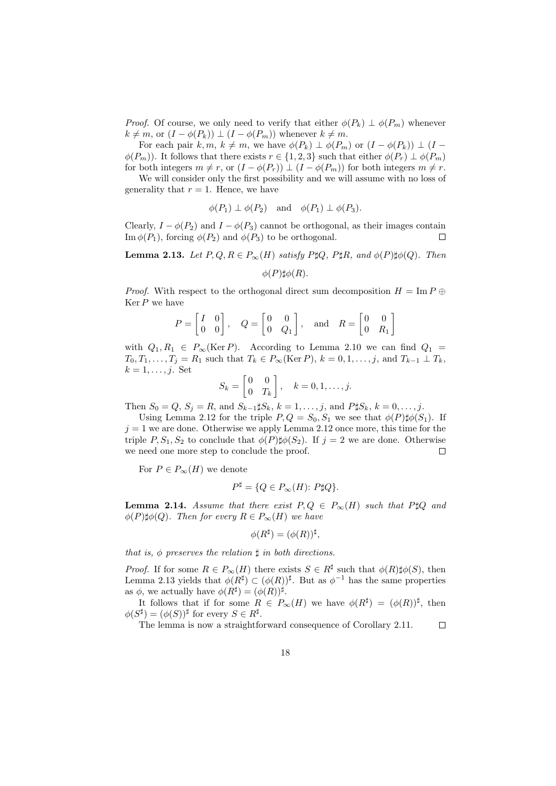*Proof.* Of course, we only need to verify that either  $\phi(P_k) \perp \phi(P_m)$  whenever  $k \neq m$ , or  $(I - \phi(P_k)) \perp (I - \phi(P_m))$  whenever  $k \neq m$ .

For each pair k, m,  $k \neq m$ , we have  $\phi(P_k) \perp \phi(P_m)$  or  $(I - \phi(P_k)) \perp (I \phi(P_m)$ . It follows that there exists  $r \in \{1, 2, 3\}$  such that either  $\phi(P_r) \perp \phi(P_m)$ for both integers  $m \neq r$ , or  $(I - \phi(P_r)) \perp (I - \phi(P_m))$  for both integers  $m \neq r$ .

We will consider only the first possibility and we will assume with no loss of generality that  $r = 1$ . Hence, we have

$$
\phi(P_1) \perp \phi(P_2)
$$
 and  $\phi(P_1) \perp \phi(P_3)$ .

Clearly,  $I - \phi(P_2)$  and  $I - \phi(P_3)$  cannot be orthogonal, as their images contain Im  $\phi(P_1)$ , forcing  $\phi(P_2)$  and  $\phi(P_3)$  to be orthogonal. □

**Lemma 2.13.** Let  $P, Q, R \in P_{\infty}(H)$  satisfy  $P \sharp Q$ ,  $P \sharp R$ , and  $\phi(P) \sharp \phi(Q)$ . Then

$$
\phi(P)\sharp\phi(R).
$$

*Proof.* With respect to the orthogonal direct sum decomposition  $H = \text{Im } P \oplus$  $\operatorname{Ker} P$  we have

$$
P = \begin{bmatrix} I & 0 \\ 0 & 0 \end{bmatrix}, \quad Q = \begin{bmatrix} 0 & 0 \\ 0 & Q_1 \end{bmatrix}, \quad \text{and} \quad R = \begin{bmatrix} 0 & 0 \\ 0 & R_1 \end{bmatrix}
$$

with  $Q_1, R_1 \in P_\infty(\text{Ker } P)$ . According to Lemma 2.10 we can find  $Q_1 =$  $T_0, T_1, \ldots, T_j = R_1$  such that  $T_k \in P_\infty(\text{Ker } P), k = 0, 1, \ldots, j$ , and  $T_{k-1} \perp T_k$ ,  $k = 1, \ldots, j$ . Set

$$
S_k = \begin{bmatrix} 0 & 0 \\ 0 & T_k \end{bmatrix}, \quad k = 0, 1, \dots, j.
$$

Then  $S_0 = Q, S_j = R$ , and  $S_{k-1} \sharp S_k, k = 1, ..., j$ , and  $P \sharp S_k, k = 0, ..., j$ .

Using Lemma 2.12 for the triple  $P, Q = S_0, S_1$  we see that  $\phi(P)\sharp\phi(S_1)$ . If  $j = 1$  we are done. Otherwise we apply Lemma 2.12 once more, this time for the triple P,  $S_1$ ,  $S_2$  to conclude that  $\phi(P)\sharp\phi(S_2)$ . If  $j=2$  we are done. Otherwise we need one more step to conclude the proof.  $\Box$ 

For  $P \in P_{\infty}(H)$  we denote

$$
P^{\sharp} = \{ Q \in P_{\infty}(H) \colon P \sharp Q \}.
$$

**Lemma 2.14.** Assume that there exist  $P, Q \in P_{\infty}(H)$  such that P\\ptalQ and  $\phi(P)\sharp\phi(Q)$ . Then for every  $R \in P_{\infty}(H)$  we have

$$
\phi(R^{\sharp}) = (\phi(R))^{\sharp},
$$

that is,  $\phi$  preserves the relation  $\sharp$  in both directions.

*Proof.* If for some  $R \in P_{\infty}(H)$  there exists  $S \in R^{\sharp}$  such that  $\phi(R)\sharp\phi(S)$ , then Lemma 2.13 yields that  $\phi(R^{\sharp}) \subset (\phi(R))^{\sharp}$ . But as  $\phi^{-1}$  has the same properties as  $\phi$ , we actually have  $\phi(R^{\sharp}) = (\phi(R))^{\sharp}$ .

It follows that if for some  $R \in P_{\infty}(H)$  we have  $\phi(R^{\sharp}) = (\phi(R))^{\sharp}$ , then  $\phi(S^{\sharp}) = (\phi(S))^{\sharp}$  for every  $S \in R^{\sharp}$ .

The lemma is now a straightforward consequence of Corollary 2.11.  $\Box$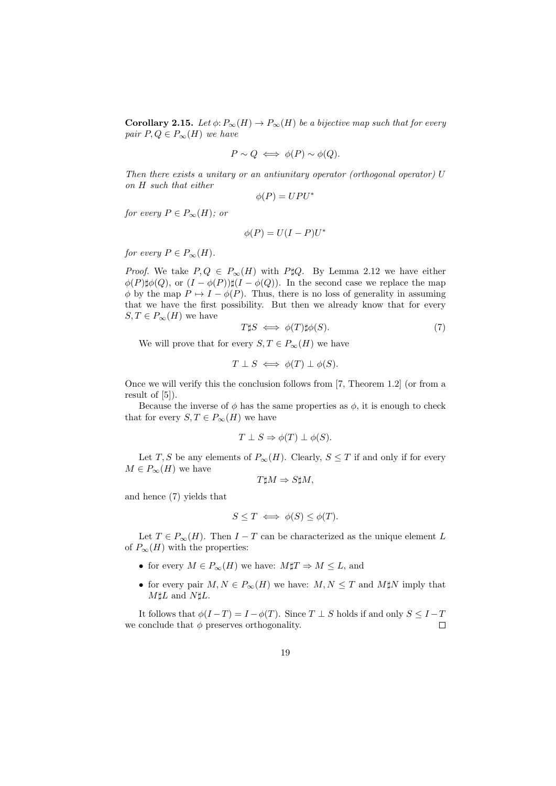**Corollary 2.15.** Let  $\phi: P_{\infty}(H) \to P_{\infty}(H)$  be a bijective map such that for every pair  $P, Q \in P_{\infty}(H)$  we have

$$
P \sim Q \iff \phi(P) \sim \phi(Q).
$$

Then there exists a unitary or an antiunitary operator (orthogonal operator) U on H such that either

 $\phi(P) = UPU^*$ 

for every  $P \in P_{\infty}(H)$ ; or

$$
\phi(P) = U(I - P)U^*
$$

for every  $P \in P_{\infty}(H)$ .

*Proof.* We take  $P, Q \in P_{\infty}(H)$  with P\\pm\$Q. By Lemma 2.12 we have either  $\phi(P)\sharp\phi(Q)$ , or  $(I - \phi(P))\sharp(I - \phi(Q))$ . In the second case we replace the map  $\phi$  by the map  $P \mapsto I - \phi(P)$ . Thus, there is no loss of generality in assuming that we have the first possibility. But then we already know that for every  $S, T \in P_{\infty}(H)$  we have

$$
T\sharp S \iff \phi(T)\sharp\phi(S). \tag{7}
$$

We will prove that for every  $S, T \in P_{\infty}(H)$  we have

$$
T \perp S \iff \phi(T) \perp \phi(S).
$$

Once we will verify this the conclusion follows from [7, Theorem 1.2] (or from a result of [5]).

Because the inverse of  $\phi$  has the same properties as  $\phi$ , it is enough to check that for every  $S, T \in P_{\infty}(H)$  we have

$$
T \perp S \Rightarrow \phi(T) \perp \phi(S).
$$

Let T, S be any elements of  $P_{\infty}(H)$ . Clearly,  $S \leq T$  if and only if for every  $M \in P_{\infty}(H)$  we have

$$
T\sharp M \Rightarrow S\sharp M,
$$

and hence (7) yields that

$$
S \leq T \iff \phi(S) \leq \phi(T).
$$

Let  $T \in P_{\infty}(H)$ . Then  $I - T$  can be characterized as the unique element L of  $P_{\infty}(H)$  with the properties:

- for every  $M \in P_{\infty}(H)$  we have:  $M \sharp T \Rightarrow M \leq L$ , and
- for every pair  $M, N \in P_{\infty}(H)$  we have:  $M, N \leq T$  and  $M \sharp N$  imply that  $M \sharp L$  and  $N \sharp L$ .

It follows that  $\phi(I-T) = I - \phi(T)$ . Since  $T \perp S$  holds if and only  $S \leq I-T$ we conclude that  $\phi$  preserves orthogonality.  $\Box$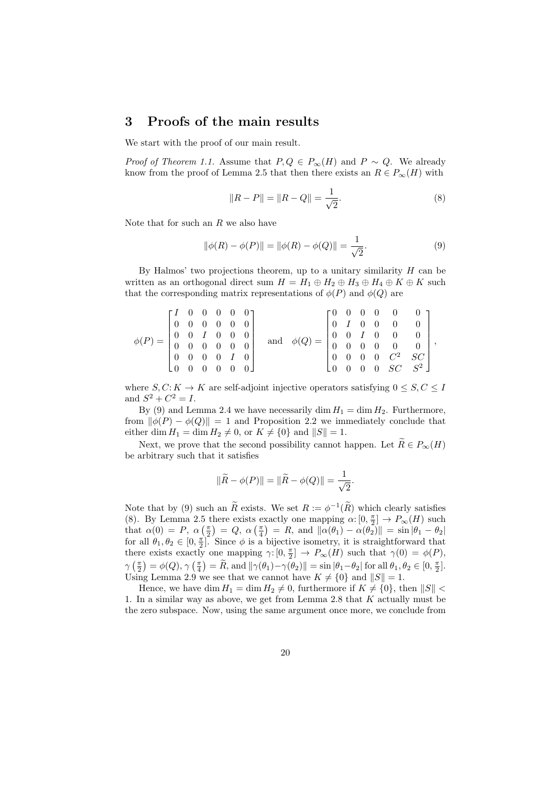### 3 Proofs of the main results

We start with the proof of our main result.

*Proof of Theorem 1.1.* Assume that  $P, Q \in P_{\infty}(H)$  and  $P \sim Q$ . We already know from the proof of Lemma 2.5 that then there exists an  $R \in P_{\infty}(H)$  with

$$
||R - P|| = ||R - Q|| = \frac{1}{\sqrt{2}}.
$$
\n(8)

Note that for such an  $R$  we also have

$$
\|\phi(R) - \phi(P)\| = \|\phi(R) - \phi(Q)\| = \frac{1}{\sqrt{2}}.
$$
\n(9)

By Halmos' two projections theorem, up to a unitary similarity  $H$  can be written as an orthogonal direct sum  $H = H_1 \oplus H_2 \oplus H_3 \oplus H_4 \oplus K \oplus K$  such that the corresponding matrix representations of  $\phi(P)$  and  $\phi(Q)$  are

| $\phi(P) = \begin{bmatrix} 0 & 0 & I & 0 & 0 & 0 \ 0 & 0 & 0 & 0 & 0 & 0 \end{bmatrix}$ |  |  |  |  |  | $\begin{bmatrix} I & 0 & 0 & 0 & 0 & 0 \end{bmatrix}$<br>$\begin{bmatrix} 0 & 0 & 0 & 0 & 0 & 0 \end{bmatrix}$<br>$\begin{bmatrix} 0 & 0 & 0 & 0 & I & 0 \end{bmatrix}$<br>$\begin{bmatrix} 0 & 0 & 0 & 0 & 0 & 0 \end{bmatrix}$ | $\quad \  \  \, \mathrm{and}$ | $\phi(Q) = \begin{bmatrix} 0 & 0 & 0 & 0 & 0 & 0 \ 0 & I & 0 & 0 & 0 & 0 \ 0 & 0 & I & 0 & 0 & 0 \ 0 & 0 & 0 & 0 & 0 & 0 \ 0 & 0 & 0 & 0 & C^2 & SC \end{bmatrix},$ |  |  |  |  | $\begin{bmatrix} 0 & 0 & 0 & 0 & SC & S^2 \end{bmatrix}$ |  |  |
|-----------------------------------------------------------------------------------------|--|--|--|--|--|----------------------------------------------------------------------------------------------------------------------------------------------------------------------------------------------------------------------------------|-------------------------------|---------------------------------------------------------------------------------------------------------------------------------------------------------------------|--|--|--|--|----------------------------------------------------------|--|--|
|-----------------------------------------------------------------------------------------|--|--|--|--|--|----------------------------------------------------------------------------------------------------------------------------------------------------------------------------------------------------------------------------------|-------------------------------|---------------------------------------------------------------------------------------------------------------------------------------------------------------------|--|--|--|--|----------------------------------------------------------|--|--|

where  $S, C: K \to K$  are self-adjoint injective operators satisfying  $0 \leq S, C \leq I$ and  $S^2 + C^2 = I$ .

By (9) and Lemma 2.4 we have necessarily dim  $H_1 = \dim H_2$ . Furthermore, from  $\|\phi(P) - \phi(Q)\| = 1$  and Proposition 2.2 we immediately conclude that either dim  $H_1 = \dim H_2 \neq 0$ , or  $K \neq \{0\}$  and  $||S|| = 1$ .

Next, we prove that the second possibility cannot happen. Let  $\widetilde{R} \in P_{\infty}(H)$ be arbitrary such that it satisfies

$$
\|\widetilde{R} - \phi(P)\| = \|\widetilde{R} - \phi(Q)\| = \frac{1}{\sqrt{2}}.
$$

Note that by (9) such an  $\tilde{R}$  exists. We set  $R := \phi^{-1}(\tilde{R})$  which clearly satisfies (8). By Lemma 2.5 there exists exactly one mapping  $\alpha: [0, \frac{\pi}{2}] \to P_{\infty}(H)$  such that  $\alpha(0) = P$ ,  $\alpha\left(\frac{\pi}{2}\right) = Q$ ,  $\alpha\left(\frac{\pi}{4}\right) = R$ , and  $\|\alpha(\theta_1) - \alpha(\theta_2)\| = \sin |\theta_1 - \theta_2|$ for all  $\theta_1, \theta_2 \in [0, \frac{\pi}{2}]$ . Since  $\phi$  is a bijective isometry, it is straightforward that there exists exactly one mapping  $\gamma: [0, \frac{\pi}{2}] \to P_{\infty}(H)$  such that  $\gamma(0) = \phi(P)$ ,  $\gamma\left(\frac{\pi}{2}\right) = \phi(Q), \gamma\left(\frac{\pi}{4}\right) = \widetilde{R}$ , and  $\|\gamma(\theta_1) - \gamma(\theta_2)\| = \sin |\theta_1 - \theta_2|$  for all  $\theta_1, \theta_2 \in [0, \frac{\pi}{2}]$ . Using Lemma 2.9 we see that we cannot have  $K \neq \{0\}$  and  $||S|| = 1$ .

Hence, we have dim  $H_1 = \dim H_2 \neq 0$ , furthermore if  $K \neq \{0\}$ , then  $||S|| <$ 1. In a similar way as above, we get from Lemma 2.8 that K actually must be the zero subspace. Now, using the same argument once more, we conclude from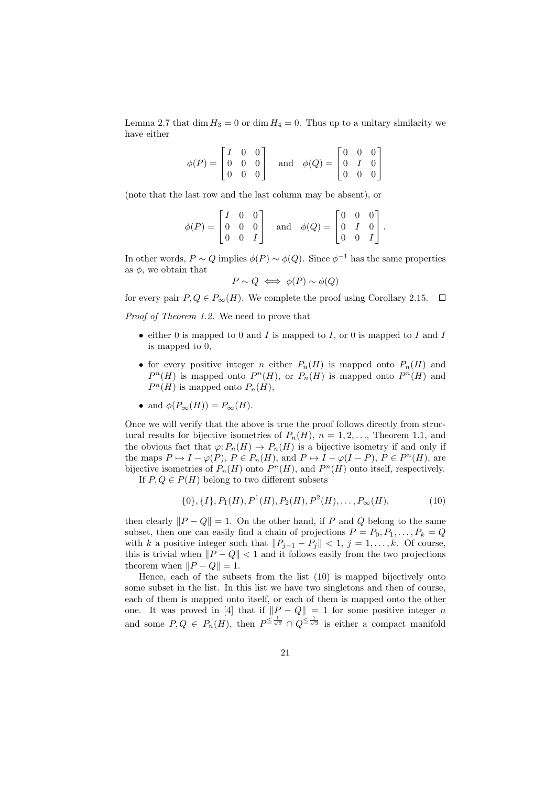Lemma 2.7 that dim  $H_3 = 0$  or dim  $H_4 = 0$ . Thus up to a unitary similarity we have either

| $\phi(P) = \begin{bmatrix} I & 0 & 0 \ 0 & 0 & 0 \ 0 & 0 & 0 \end{bmatrix}$ |  |  | and $\phi(Q) = \begin{bmatrix} 0 & 0 & 0 \\ 0 & I & 0 \\ 0 & 0 & 0 \end{bmatrix}$ |  |  |
|-----------------------------------------------------------------------------|--|--|-----------------------------------------------------------------------------------|--|--|

(note that the last row and the last column may be absent), or

$$
\phi(P) = \begin{bmatrix} I & 0 & 0 \\ 0 & 0 & 0 \\ 0 & 0 & I \end{bmatrix} \quad \text{and} \quad \phi(Q) = \begin{bmatrix} 0 & 0 & 0 \\ 0 & I & 0 \\ 0 & 0 & I \end{bmatrix}.
$$

In other words,  $P \sim Q$  implies  $\phi(P) \sim \phi(Q)$ . Since  $\phi^{-1}$  has the same properties as  $\phi$ , we obtain that

$$
P \sim Q \iff \phi(P) \sim \phi(Q)
$$

for every pair  $P, Q \in P_{\infty}(H)$ . We complete the proof using Corollary 2.15.  $\Box$ 

Proof of Theorem 1.2. We need to prove that

- either 0 is mapped to 0 and I is mapped to I, or 0 is mapped to I and I is mapped to 0,
- for every positive integer n either  $P_n(H)$  is mapped onto  $P_n(H)$  and  $P^{n}(H)$  is mapped onto  $P^{n}(H)$ , or  $P_{n}(H)$  is mapped onto  $P^{n}(H)$  and  $P^{n}(H)$  is mapped onto  $P_{n}(H)$ ,
- and  $\phi(P_{\infty}(H)) = P_{\infty}(H)$ .

Once we will verify that the above is true the proof follows directly from structural results for bijective isometries of  $P_n(H)$ ,  $n = 1, 2, \ldots$ , Theorem 1.1, and the obvious fact that  $\varphi: P_n(H) \to P_n(H)$  is a bijective isometry if and only if the maps  $P \mapsto I - \varphi(P)$ ,  $P \in P_n(H)$ , and  $P \mapsto I - \varphi(I - P)$ ,  $P \in P^n(H)$ , are bijective isometries of  $P_n(H)$  onto  $P^n(H)$ , and  $P^n(H)$  onto itself, respectively. If  $P, Q \in P(H)$  belong to two different subsets

 $\{0\}, \{I\}, P_1(H), P^1(H), P_2(H), P^2(H), \ldots, P_\infty(H),$  (10)

then clearly  $||P - Q|| = 1$ . On the other hand, if P and Q belong to the same subset, then one can easily find a chain of projections  $P = P_0, P_1, \ldots, P_k = Q$ with k a positive integer such that  $||P_{j-1} - P_j|| < 1, j = 1, ..., k$ . Of course, this is trivial when  $||P - Q|| < 1$  and it follows easily from the two projections theorem when  $||P - Q|| = 1$ .

Hence, each of the subsets from the list (10) is mapped bijectively onto some subset in the list. In this list we have two singletons and then of course, each of them is mapped onto itself, or each of them is mapped onto the other one. It was proved in [4] that if  $||P - Q|| = 1$  for some positive integer n and some  $P,Q \in P_n(H)$ , then  $P^{\leq \frac{1}{\sqrt{2}}} \cap Q^{\leq \frac{1}{\sqrt{2}}}$  is either a compact manifold